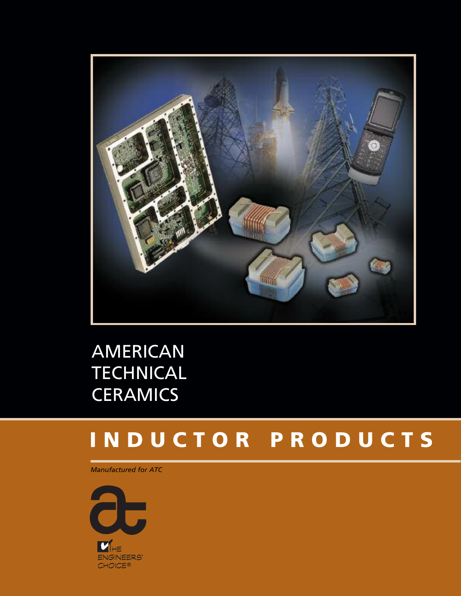

AMERICAN **TECHNICAL CERAMICS** 

# **I N D U C T O R P R O D U C T S**

*Manufactured for ATC*

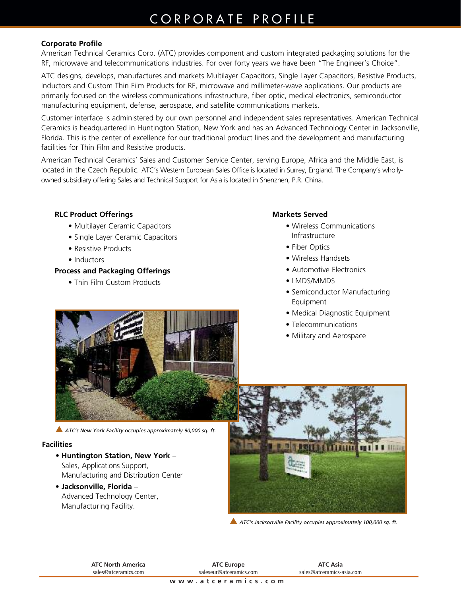### CORPORATE PROFILE

### **Corporate Profile**

American Technical Ceramics Corp. (ATC) provides component and custom integrated packaging solutions for the RF, microwave and telecommunications industries. For over forty years we have been "The Engineer's Choice".

ATC designs, develops, manufactures and markets Multilayer Capacitors, Single Layer Capacitors, Resistive Products, Inductors and Custom Thin Film Products for RF, microwave and millimeter-wave applications. Our products are primarily focused on the wireless communications infrastructure, fiber optic, medical electronics, semiconductor manufacturing equipment, defense, aerospace, and satellite communications markets.

Customer interface is administered by our own personnel and independent sales representatives. American Technical Ceramics is headquartered in Huntington Station, New York and has an Advanced Technology Center in Jacksonville, Florida. This is the center of excellence for our traditional product lines and the development and manufacturing facilities for Thin Film and Resistive products.

American Technical Ceramics' Sales and Customer Service Center, serving Europe, Africa and the Middle East, is located in the Czech Republic. ATC's Western European Sales Office is located in Surrey, England. The Company's whollyowned subsidiary offering Sales and Technical Support for Asia is located in Shenzhen, P.R. China.

### **RLC Product Offerings**

- Multilayer Ceramic Capacitors
- Single Layer Ceramic Capacitors
- Resistive Products
- Inductors

#### **Process and Packaging Offerings**

• Thin Film Custom Products

#### **Markets Served**

- Wireless Communications Infrastructure
- Fiber Optics
- Wireless Handsets
- Automotive Electronics
- LMDS/MMDS
- Semiconductor Manufacturing Equipment
- Medical Diagnostic Equipment
- Telecommunications
- Military and Aerospace



s *ATC's New York Facility occupies approximately 90,000 sq. ft.*

### **Facilities**

- **Huntington Station, New York** Sales, Applications Support, Manufacturing and Distribution Center
- **Jacksonville, Florida** Advanced Technology Center, Manufacturing Facility.



s *ATC's Jacksonville Facility occupies approximately 100,000 sq. ft.*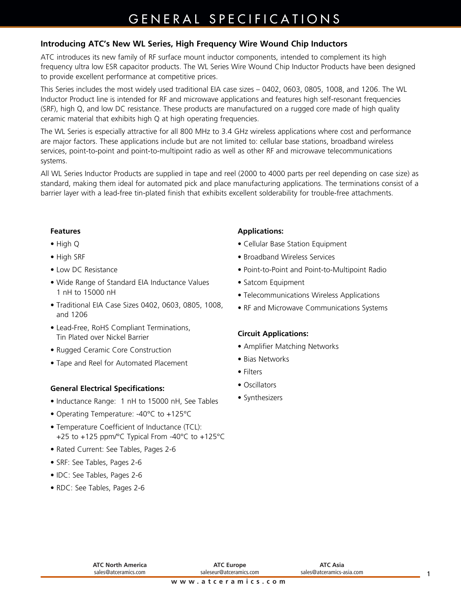### GENERAL SPECIFICATIONS

### **Introducing ATC's New WL Series, High Frequency Wire Wound Chip Inductors**

ATC introduces its new family of RF surface mount inductor components, intended to complement its high frequency ultra low ESR capacitor products. The WL Series Wire Wound Chip Inductor Products have been designed to provide excellent performance at competitive prices.

This Series includes the most widely used traditional EIA case sizes – 0402, 0603, 0805, 1008, and 1206. The WL Inductor Product line is intended for RF and microwave applications and features high self-resonant frequencies (SRF), high Q, and low DC resistance. These products are manufactured on a rugged core made of high quality ceramic material that exhibits high Q at high operating frequencies.

The WL Series is especially attractive for all 800 MHz to 3.4 GHz wireless applications where cost and performance are major factors. These applications include but are not limited to: cellular base stations, broadband wireless services, point-to-point and point-to-multipoint radio as well as other RF and microwave telecommunications systems.

All WL Series Inductor Products are supplied in tape and reel (2000 to 4000 parts per reel depending on case size) as standard, making them ideal for automated pick and place manufacturing applications. The terminations consist of a barrier layer with a lead-free tin-plated finish that exhibits excellent solderability for trouble-free attachments.

### **Features**

- High Q
- High SRF
- Low DC Resistance
- Wide Range of Standard EIA Inductance Values 1 nH to 15000 nH
- Traditional EIA Case Sizes 0402, 0603, 0805, 1008, and 1206
- Lead-Free, RoHS Compliant Terminations, Tin Plated over Nickel Barrier
- Rugged Ceramic Core Construction
- Tape and Reel for Automated Placement

### **General Electrical Specifications:**

- Inductance Range: 1 nH to 15000 nH, See Tables
- Operating Temperature: -40°C to +125°C
- Temperature Coefficient of Inductance (TCL): +25 to +125 ppm/°C Typical From -40°C to +125°C
- Rated Current: See Tables, Pages 2-6
- SRF: See Tables, Pages 2-6
- IDC: See Tables, Pages 2-6
- RDC: See Tables, Pages 2-6

### **Applications:**

- Cellular Base Station Equipment
- Broadband Wireless Services
- Point-to-Point and Point-to-Multipoint Radio
- Satcom Equipment
- Telecommunications Wireless Applications
- RF and Microwave Communications Systems

#### **Circuit Applications:**

- Amplifier Matching Networks
- Bias Networks
- Filters
- Oscillators
- Synthesizers

| <b>ATC North America</b> |  |
|--------------------------|--|
| sales@atceramics.com     |  |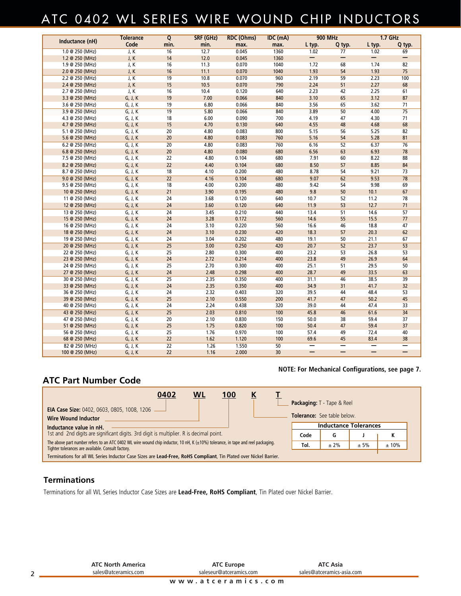### ATC 0402 WL SERIES WIRE WOUND CHIP INDUCTORS

| Inductance (nH)<br>Code<br>L typ.<br>min.<br>min.<br>L typ.<br>Q typ.<br>Q typ.<br>max.<br>max.<br>1.0 @ 250 (MHz)<br>J, K<br>$\overline{16}$<br>12.7<br>0.045<br>1360<br>1.02<br>1.02<br>77<br>69<br>$\qquad \qquad -$<br>—<br>-<br>12.0<br>1.2 @ 250 (MHz)<br>J, K<br>14<br>0.045<br>1360<br>—<br>1.9 @ 250 (MHz)<br>J, K<br>16<br>11.3<br>0.070<br>1040<br>1.72<br>68<br>1.74<br>82<br>11.1<br>54<br>1.93<br>75<br>J, K<br>16<br>0.070<br>1040<br>1.93<br>2.0 @ 250 (MHz)<br>10.8<br>$\overline{59}$<br>100<br>J, K<br>19<br>0.070<br>960<br>2.19<br>2.23<br>2.2 @ 250 (MHz)<br>J, K<br>15<br>10.5<br>0.070<br>2.24<br>51<br>2.27<br>68<br>790<br>2.4 @ 250 (MHz)<br>J, K<br>10.4<br>61<br>16<br>0.120<br>640<br>2.23<br>42<br>2.25<br>2.7 @ 250 (MHz)<br>G, J, K<br>19<br>7.00<br>65<br>3.12<br>87<br>0.066<br>840<br>3.10<br>3.3 @ 250 (MHz)<br>65<br>3.62<br>71<br>G, J, K<br>19<br>6.80<br>0.066<br>840<br>3.56<br>3.6 @ 250 (MHz)<br>$\overline{50}$<br>$\overline{75}$<br>G, J, K<br>19<br>5.80<br>0.066<br>840<br>3.89<br>4.00<br>3.9 @ 250 (MHz)<br>6.00<br>0.090<br>47<br>4.30<br>71<br>4.3 @ 250 (MHz)<br>G, J, K<br>18<br>700<br>4.19<br>68<br>G, J, K<br>15<br>4.70<br>0.130<br>640<br>4.55<br>48<br>4.68<br>4.7 @ 250 (MHz)<br>20<br>4.80<br>0.083<br>800<br>5.15<br>56<br>5.25<br>82<br>5.1 @ 250 (MHz)<br>G, J, K<br>81<br>G, J, K<br>4.80<br>0.083<br>760<br>5.16<br>54<br>5.28<br>5.6 @ 250 (MHz)<br>20<br>760<br>6.16<br>6.37<br>76<br>G, J, K<br>4.80<br>0.083<br>52<br>6.2 @ 250 (MHz)<br>20<br>G, J, K<br>20<br>4.80<br>0.080<br>680<br>6.56<br>63<br>6.93<br>78<br>6.8 @ 250 (MHz)<br>G, J, K<br>4.80<br>0.104<br>680<br>7.91<br>60<br>8.22<br>88<br>7.5 @ 250 (MHz)<br>22<br>84<br>0.104<br>8.50<br>57<br>8.85<br>G, J, K<br>22<br>4.40<br>680<br>8.2 @ 250 (MHz)<br>4.10<br>0.200<br>480<br>8.78<br>54<br>9.21<br>73<br>G, J, K<br>18<br>8.7 @ 250 (MHz)<br>$\overline{78}$<br>$\overline{22}$<br>9.07<br>62<br>9.53<br>9.0 @ 250 (MHz)<br>G, J, K<br>4.16<br>0.104<br>680<br>0.200<br>9.42<br>9.98<br>69<br>9.5 @ 250 (MHz)<br>G, J, K<br>18<br>4.00<br>480<br>54<br>67<br>21<br>3.90<br>0.195<br>480<br>9.8<br>50<br>10.1<br>10 @ 250 (MHz)<br>G, J, K<br>G, J, K<br>3.68<br>0.120<br>640<br>10.7<br>52<br>11.2<br>78<br>11 @ 250 (MHz)<br>24<br>53<br>71<br>24<br>3.60<br>0.120<br>640<br>11.9<br>12.7<br>12 @ 250 (MHz)<br>G, J, K<br>57<br>0.210<br>13.4<br>14.6<br>13 @ 250 (MHz)<br>G, J, K<br>24<br>3.45<br>440<br>51<br>55<br>77<br>G, J, K<br>24<br>3.28<br>0.172<br>560<br>14.6<br>15.5<br>15 @ 250 (MHz)<br>0.220<br>G, J, K<br>24<br>3.10<br>560<br>16.6<br>46<br>18.8<br>47<br>16 @ 250 (MHz)<br>0.230<br>18.3<br>57<br>20.3<br>62<br>G, J, K<br>24<br>3.10<br>420<br>18 @ 250 (MHz)<br>0.202<br>G, J, K<br>24<br>3.04<br>480<br>19.1<br>50<br>21.1<br>67<br>19 @ 250 (MHz)<br>$\overline{25}$<br>0.250<br>20.7<br>$\overline{52}$<br>23.7<br>$\overline{53}$<br>20 @ 250 (MHz)<br>G, J, K<br>3.00<br>420<br>53<br>G, J, K<br>25<br>2.80<br>0.300<br>400<br>23.2<br>53<br>26.8<br>22 @ 250 (MHz)<br>49<br>64<br>G, J, K<br>24<br>2.72<br>0.214<br>400<br>23.8<br>26.9<br>23 @ 250 (MHz)<br>50<br>25<br>2.70<br>0.300<br>400<br>25.1<br>51<br>29.5<br>24 @ 250 (MHz)<br>G, J, K<br>0.298<br>28.7<br>49<br>63<br>G, J, K<br>24<br>2.48<br>400<br>33.5<br>27 @ 250 (MHz)<br>2.35<br>0.350<br>400<br>31.1<br>46<br>38.5<br>$\overline{39}$<br>30 @ 250 (MHz)<br>G, J, K<br>25<br>2.35<br>0.350<br>34.9<br>31<br>41.7<br>32<br>33 @ 250 (MHz)<br>G, J, K<br>24<br>400<br>2.32<br>39.5<br>53<br>36 @ 250 (MHz)<br>G, J, K<br>24<br>0.403<br>320<br>44<br>48.4<br>45<br>2.10<br>0.550<br>47<br>50.2<br>G, J, K<br>25<br>200<br>41.7<br>39 @ 250 (MHz)<br>2.24<br>0.438<br>39.0<br>33<br>40 @ 250 (MHz)<br>G, J, K<br>24<br>320<br>44<br>47.4<br>25<br>46<br>34<br>G, J, K<br>2.03<br>0.810<br>100<br>45.8<br>61.6<br>43 @ 250 (MHz)<br>G, J, K<br>20<br>2.10<br>0.830<br>150<br>50.0<br>38<br>59.4<br>37<br>47 @ 250 (MHz)<br>37<br>25<br>0.820<br>47<br>59.4<br>1.75<br>100<br>50.4<br>51 @ 250 (MHz)<br>G, J, K<br>1.76<br>0.970<br>40<br>25<br>100<br>57.4<br>49<br>72.4<br>56 @ 250 (MHz)<br>G, J, K<br>38<br>22<br>1.62<br>1.120<br>100<br>69.6<br>45<br>83.4<br>68 @ 250 (MHz)<br>G, J, K<br>$\overline{22}$<br>50<br>1.26<br>1.550<br>—<br>-<br>82 @ 250 (MHz)<br>G, J, K<br>$\qquad \qquad$<br>$\qquad \qquad -$<br>—<br>$\qquad \qquad -$<br>— |                 | <b>Tolerance</b> | Q  | SRF (GHz) | <b>RDC (Ohms)</b> | IDC (mA) | <b>900 MHz</b> | $1.7$ GHz |
|-------------------------------------------------------------------------------------------------------------------------------------------------------------------------------------------------------------------------------------------------------------------------------------------------------------------------------------------------------------------------------------------------------------------------------------------------------------------------------------------------------------------------------------------------------------------------------------------------------------------------------------------------------------------------------------------------------------------------------------------------------------------------------------------------------------------------------------------------------------------------------------------------------------------------------------------------------------------------------------------------------------------------------------------------------------------------------------------------------------------------------------------------------------------------------------------------------------------------------------------------------------------------------------------------------------------------------------------------------------------------------------------------------------------------------------------------------------------------------------------------------------------------------------------------------------------------------------------------------------------------------------------------------------------------------------------------------------------------------------------------------------------------------------------------------------------------------------------------------------------------------------------------------------------------------------------------------------------------------------------------------------------------------------------------------------------------------------------------------------------------------------------------------------------------------------------------------------------------------------------------------------------------------------------------------------------------------------------------------------------------------------------------------------------------------------------------------------------------------------------------------------------------------------------------------------------------------------------------------------------------------------------------------------------------------------------------------------------------------------------------------------------------------------------------------------------------------------------------------------------------------------------------------------------------------------------------------------------------------------------------------------------------------------------------------------------------------------------------------------------------------------------------------------------------------------------------------------------------------------------------------------------------------------------------------------------------------------------------------------------------------------------------------------------------------------------------------------------------------------------------------------------------------------------------------------------------------------------------------------------------------------------------------------------------------------------------------------------------------------------------------------------------------------------------------------------------------------------------------------------------------------------------------------------------------------------------------------------------------------------------------------------------------------------------------------------------------------------------------------------------------------------------------------------------------------------------------------------------------------------------------------------------------------------------------------------------------------------------------------------------------------------|-----------------|------------------|----|-----------|-------------------|----------|----------------|-----------|
|                                                                                                                                                                                                                                                                                                                                                                                                                                                                                                                                                                                                                                                                                                                                                                                                                                                                                                                                                                                                                                                                                                                                                                                                                                                                                                                                                                                                                                                                                                                                                                                                                                                                                                                                                                                                                                                                                                                                                                                                                                                                                                                                                                                                                                                                                                                                                                                                                                                                                                                                                                                                                                                                                                                                                                                                                                                                                                                                                                                                                                                                                                                                                                                                                                                                                                                                                                                                                                                                                                                                                                                                                                                                                                                                                                                                                                                                                                                                                                                                                                                                                                                                                                                                                                                                                                                                                                                           |                 |                  |    |           |                   |          |                |           |
|                                                                                                                                                                                                                                                                                                                                                                                                                                                                                                                                                                                                                                                                                                                                                                                                                                                                                                                                                                                                                                                                                                                                                                                                                                                                                                                                                                                                                                                                                                                                                                                                                                                                                                                                                                                                                                                                                                                                                                                                                                                                                                                                                                                                                                                                                                                                                                                                                                                                                                                                                                                                                                                                                                                                                                                                                                                                                                                                                                                                                                                                                                                                                                                                                                                                                                                                                                                                                                                                                                                                                                                                                                                                                                                                                                                                                                                                                                                                                                                                                                                                                                                                                                                                                                                                                                                                                                                           |                 |                  |    |           |                   |          |                |           |
|                                                                                                                                                                                                                                                                                                                                                                                                                                                                                                                                                                                                                                                                                                                                                                                                                                                                                                                                                                                                                                                                                                                                                                                                                                                                                                                                                                                                                                                                                                                                                                                                                                                                                                                                                                                                                                                                                                                                                                                                                                                                                                                                                                                                                                                                                                                                                                                                                                                                                                                                                                                                                                                                                                                                                                                                                                                                                                                                                                                                                                                                                                                                                                                                                                                                                                                                                                                                                                                                                                                                                                                                                                                                                                                                                                                                                                                                                                                                                                                                                                                                                                                                                                                                                                                                                                                                                                                           |                 |                  |    |           |                   |          |                |           |
|                                                                                                                                                                                                                                                                                                                                                                                                                                                                                                                                                                                                                                                                                                                                                                                                                                                                                                                                                                                                                                                                                                                                                                                                                                                                                                                                                                                                                                                                                                                                                                                                                                                                                                                                                                                                                                                                                                                                                                                                                                                                                                                                                                                                                                                                                                                                                                                                                                                                                                                                                                                                                                                                                                                                                                                                                                                                                                                                                                                                                                                                                                                                                                                                                                                                                                                                                                                                                                                                                                                                                                                                                                                                                                                                                                                                                                                                                                                                                                                                                                                                                                                                                                                                                                                                                                                                                                                           |                 |                  |    |           |                   |          |                |           |
|                                                                                                                                                                                                                                                                                                                                                                                                                                                                                                                                                                                                                                                                                                                                                                                                                                                                                                                                                                                                                                                                                                                                                                                                                                                                                                                                                                                                                                                                                                                                                                                                                                                                                                                                                                                                                                                                                                                                                                                                                                                                                                                                                                                                                                                                                                                                                                                                                                                                                                                                                                                                                                                                                                                                                                                                                                                                                                                                                                                                                                                                                                                                                                                                                                                                                                                                                                                                                                                                                                                                                                                                                                                                                                                                                                                                                                                                                                                                                                                                                                                                                                                                                                                                                                                                                                                                                                                           |                 |                  |    |           |                   |          |                |           |
|                                                                                                                                                                                                                                                                                                                                                                                                                                                                                                                                                                                                                                                                                                                                                                                                                                                                                                                                                                                                                                                                                                                                                                                                                                                                                                                                                                                                                                                                                                                                                                                                                                                                                                                                                                                                                                                                                                                                                                                                                                                                                                                                                                                                                                                                                                                                                                                                                                                                                                                                                                                                                                                                                                                                                                                                                                                                                                                                                                                                                                                                                                                                                                                                                                                                                                                                                                                                                                                                                                                                                                                                                                                                                                                                                                                                                                                                                                                                                                                                                                                                                                                                                                                                                                                                                                                                                                                           |                 |                  |    |           |                   |          |                |           |
|                                                                                                                                                                                                                                                                                                                                                                                                                                                                                                                                                                                                                                                                                                                                                                                                                                                                                                                                                                                                                                                                                                                                                                                                                                                                                                                                                                                                                                                                                                                                                                                                                                                                                                                                                                                                                                                                                                                                                                                                                                                                                                                                                                                                                                                                                                                                                                                                                                                                                                                                                                                                                                                                                                                                                                                                                                                                                                                                                                                                                                                                                                                                                                                                                                                                                                                                                                                                                                                                                                                                                                                                                                                                                                                                                                                                                                                                                                                                                                                                                                                                                                                                                                                                                                                                                                                                                                                           |                 |                  |    |           |                   |          |                |           |
|                                                                                                                                                                                                                                                                                                                                                                                                                                                                                                                                                                                                                                                                                                                                                                                                                                                                                                                                                                                                                                                                                                                                                                                                                                                                                                                                                                                                                                                                                                                                                                                                                                                                                                                                                                                                                                                                                                                                                                                                                                                                                                                                                                                                                                                                                                                                                                                                                                                                                                                                                                                                                                                                                                                                                                                                                                                                                                                                                                                                                                                                                                                                                                                                                                                                                                                                                                                                                                                                                                                                                                                                                                                                                                                                                                                                                                                                                                                                                                                                                                                                                                                                                                                                                                                                                                                                                                                           |                 |                  |    |           |                   |          |                |           |
|                                                                                                                                                                                                                                                                                                                                                                                                                                                                                                                                                                                                                                                                                                                                                                                                                                                                                                                                                                                                                                                                                                                                                                                                                                                                                                                                                                                                                                                                                                                                                                                                                                                                                                                                                                                                                                                                                                                                                                                                                                                                                                                                                                                                                                                                                                                                                                                                                                                                                                                                                                                                                                                                                                                                                                                                                                                                                                                                                                                                                                                                                                                                                                                                                                                                                                                                                                                                                                                                                                                                                                                                                                                                                                                                                                                                                                                                                                                                                                                                                                                                                                                                                                                                                                                                                                                                                                                           |                 |                  |    |           |                   |          |                |           |
|                                                                                                                                                                                                                                                                                                                                                                                                                                                                                                                                                                                                                                                                                                                                                                                                                                                                                                                                                                                                                                                                                                                                                                                                                                                                                                                                                                                                                                                                                                                                                                                                                                                                                                                                                                                                                                                                                                                                                                                                                                                                                                                                                                                                                                                                                                                                                                                                                                                                                                                                                                                                                                                                                                                                                                                                                                                                                                                                                                                                                                                                                                                                                                                                                                                                                                                                                                                                                                                                                                                                                                                                                                                                                                                                                                                                                                                                                                                                                                                                                                                                                                                                                                                                                                                                                                                                                                                           |                 |                  |    |           |                   |          |                |           |
|                                                                                                                                                                                                                                                                                                                                                                                                                                                                                                                                                                                                                                                                                                                                                                                                                                                                                                                                                                                                                                                                                                                                                                                                                                                                                                                                                                                                                                                                                                                                                                                                                                                                                                                                                                                                                                                                                                                                                                                                                                                                                                                                                                                                                                                                                                                                                                                                                                                                                                                                                                                                                                                                                                                                                                                                                                                                                                                                                                                                                                                                                                                                                                                                                                                                                                                                                                                                                                                                                                                                                                                                                                                                                                                                                                                                                                                                                                                                                                                                                                                                                                                                                                                                                                                                                                                                                                                           |                 |                  |    |           |                   |          |                |           |
|                                                                                                                                                                                                                                                                                                                                                                                                                                                                                                                                                                                                                                                                                                                                                                                                                                                                                                                                                                                                                                                                                                                                                                                                                                                                                                                                                                                                                                                                                                                                                                                                                                                                                                                                                                                                                                                                                                                                                                                                                                                                                                                                                                                                                                                                                                                                                                                                                                                                                                                                                                                                                                                                                                                                                                                                                                                                                                                                                                                                                                                                                                                                                                                                                                                                                                                                                                                                                                                                                                                                                                                                                                                                                                                                                                                                                                                                                                                                                                                                                                                                                                                                                                                                                                                                                                                                                                                           |                 |                  |    |           |                   |          |                |           |
|                                                                                                                                                                                                                                                                                                                                                                                                                                                                                                                                                                                                                                                                                                                                                                                                                                                                                                                                                                                                                                                                                                                                                                                                                                                                                                                                                                                                                                                                                                                                                                                                                                                                                                                                                                                                                                                                                                                                                                                                                                                                                                                                                                                                                                                                                                                                                                                                                                                                                                                                                                                                                                                                                                                                                                                                                                                                                                                                                                                                                                                                                                                                                                                                                                                                                                                                                                                                                                                                                                                                                                                                                                                                                                                                                                                                                                                                                                                                                                                                                                                                                                                                                                                                                                                                                                                                                                                           |                 |                  |    |           |                   |          |                |           |
|                                                                                                                                                                                                                                                                                                                                                                                                                                                                                                                                                                                                                                                                                                                                                                                                                                                                                                                                                                                                                                                                                                                                                                                                                                                                                                                                                                                                                                                                                                                                                                                                                                                                                                                                                                                                                                                                                                                                                                                                                                                                                                                                                                                                                                                                                                                                                                                                                                                                                                                                                                                                                                                                                                                                                                                                                                                                                                                                                                                                                                                                                                                                                                                                                                                                                                                                                                                                                                                                                                                                                                                                                                                                                                                                                                                                                                                                                                                                                                                                                                                                                                                                                                                                                                                                                                                                                                                           |                 |                  |    |           |                   |          |                |           |
|                                                                                                                                                                                                                                                                                                                                                                                                                                                                                                                                                                                                                                                                                                                                                                                                                                                                                                                                                                                                                                                                                                                                                                                                                                                                                                                                                                                                                                                                                                                                                                                                                                                                                                                                                                                                                                                                                                                                                                                                                                                                                                                                                                                                                                                                                                                                                                                                                                                                                                                                                                                                                                                                                                                                                                                                                                                                                                                                                                                                                                                                                                                                                                                                                                                                                                                                                                                                                                                                                                                                                                                                                                                                                                                                                                                                                                                                                                                                                                                                                                                                                                                                                                                                                                                                                                                                                                                           |                 |                  |    |           |                   |          |                |           |
|                                                                                                                                                                                                                                                                                                                                                                                                                                                                                                                                                                                                                                                                                                                                                                                                                                                                                                                                                                                                                                                                                                                                                                                                                                                                                                                                                                                                                                                                                                                                                                                                                                                                                                                                                                                                                                                                                                                                                                                                                                                                                                                                                                                                                                                                                                                                                                                                                                                                                                                                                                                                                                                                                                                                                                                                                                                                                                                                                                                                                                                                                                                                                                                                                                                                                                                                                                                                                                                                                                                                                                                                                                                                                                                                                                                                                                                                                                                                                                                                                                                                                                                                                                                                                                                                                                                                                                                           |                 |                  |    |           |                   |          |                |           |
|                                                                                                                                                                                                                                                                                                                                                                                                                                                                                                                                                                                                                                                                                                                                                                                                                                                                                                                                                                                                                                                                                                                                                                                                                                                                                                                                                                                                                                                                                                                                                                                                                                                                                                                                                                                                                                                                                                                                                                                                                                                                                                                                                                                                                                                                                                                                                                                                                                                                                                                                                                                                                                                                                                                                                                                                                                                                                                                                                                                                                                                                                                                                                                                                                                                                                                                                                                                                                                                                                                                                                                                                                                                                                                                                                                                                                                                                                                                                                                                                                                                                                                                                                                                                                                                                                                                                                                                           |                 |                  |    |           |                   |          |                |           |
|                                                                                                                                                                                                                                                                                                                                                                                                                                                                                                                                                                                                                                                                                                                                                                                                                                                                                                                                                                                                                                                                                                                                                                                                                                                                                                                                                                                                                                                                                                                                                                                                                                                                                                                                                                                                                                                                                                                                                                                                                                                                                                                                                                                                                                                                                                                                                                                                                                                                                                                                                                                                                                                                                                                                                                                                                                                                                                                                                                                                                                                                                                                                                                                                                                                                                                                                                                                                                                                                                                                                                                                                                                                                                                                                                                                                                                                                                                                                                                                                                                                                                                                                                                                                                                                                                                                                                                                           |                 |                  |    |           |                   |          |                |           |
|                                                                                                                                                                                                                                                                                                                                                                                                                                                                                                                                                                                                                                                                                                                                                                                                                                                                                                                                                                                                                                                                                                                                                                                                                                                                                                                                                                                                                                                                                                                                                                                                                                                                                                                                                                                                                                                                                                                                                                                                                                                                                                                                                                                                                                                                                                                                                                                                                                                                                                                                                                                                                                                                                                                                                                                                                                                                                                                                                                                                                                                                                                                                                                                                                                                                                                                                                                                                                                                                                                                                                                                                                                                                                                                                                                                                                                                                                                                                                                                                                                                                                                                                                                                                                                                                                                                                                                                           |                 |                  |    |           |                   |          |                |           |
|                                                                                                                                                                                                                                                                                                                                                                                                                                                                                                                                                                                                                                                                                                                                                                                                                                                                                                                                                                                                                                                                                                                                                                                                                                                                                                                                                                                                                                                                                                                                                                                                                                                                                                                                                                                                                                                                                                                                                                                                                                                                                                                                                                                                                                                                                                                                                                                                                                                                                                                                                                                                                                                                                                                                                                                                                                                                                                                                                                                                                                                                                                                                                                                                                                                                                                                                                                                                                                                                                                                                                                                                                                                                                                                                                                                                                                                                                                                                                                                                                                                                                                                                                                                                                                                                                                                                                                                           |                 |                  |    |           |                   |          |                |           |
|                                                                                                                                                                                                                                                                                                                                                                                                                                                                                                                                                                                                                                                                                                                                                                                                                                                                                                                                                                                                                                                                                                                                                                                                                                                                                                                                                                                                                                                                                                                                                                                                                                                                                                                                                                                                                                                                                                                                                                                                                                                                                                                                                                                                                                                                                                                                                                                                                                                                                                                                                                                                                                                                                                                                                                                                                                                                                                                                                                                                                                                                                                                                                                                                                                                                                                                                                                                                                                                                                                                                                                                                                                                                                                                                                                                                                                                                                                                                                                                                                                                                                                                                                                                                                                                                                                                                                                                           |                 |                  |    |           |                   |          |                |           |
|                                                                                                                                                                                                                                                                                                                                                                                                                                                                                                                                                                                                                                                                                                                                                                                                                                                                                                                                                                                                                                                                                                                                                                                                                                                                                                                                                                                                                                                                                                                                                                                                                                                                                                                                                                                                                                                                                                                                                                                                                                                                                                                                                                                                                                                                                                                                                                                                                                                                                                                                                                                                                                                                                                                                                                                                                                                                                                                                                                                                                                                                                                                                                                                                                                                                                                                                                                                                                                                                                                                                                                                                                                                                                                                                                                                                                                                                                                                                                                                                                                                                                                                                                                                                                                                                                                                                                                                           |                 |                  |    |           |                   |          |                |           |
|                                                                                                                                                                                                                                                                                                                                                                                                                                                                                                                                                                                                                                                                                                                                                                                                                                                                                                                                                                                                                                                                                                                                                                                                                                                                                                                                                                                                                                                                                                                                                                                                                                                                                                                                                                                                                                                                                                                                                                                                                                                                                                                                                                                                                                                                                                                                                                                                                                                                                                                                                                                                                                                                                                                                                                                                                                                                                                                                                                                                                                                                                                                                                                                                                                                                                                                                                                                                                                                                                                                                                                                                                                                                                                                                                                                                                                                                                                                                                                                                                                                                                                                                                                                                                                                                                                                                                                                           |                 |                  |    |           |                   |          |                |           |
|                                                                                                                                                                                                                                                                                                                                                                                                                                                                                                                                                                                                                                                                                                                                                                                                                                                                                                                                                                                                                                                                                                                                                                                                                                                                                                                                                                                                                                                                                                                                                                                                                                                                                                                                                                                                                                                                                                                                                                                                                                                                                                                                                                                                                                                                                                                                                                                                                                                                                                                                                                                                                                                                                                                                                                                                                                                                                                                                                                                                                                                                                                                                                                                                                                                                                                                                                                                                                                                                                                                                                                                                                                                                                                                                                                                                                                                                                                                                                                                                                                                                                                                                                                                                                                                                                                                                                                                           |                 |                  |    |           |                   |          |                |           |
|                                                                                                                                                                                                                                                                                                                                                                                                                                                                                                                                                                                                                                                                                                                                                                                                                                                                                                                                                                                                                                                                                                                                                                                                                                                                                                                                                                                                                                                                                                                                                                                                                                                                                                                                                                                                                                                                                                                                                                                                                                                                                                                                                                                                                                                                                                                                                                                                                                                                                                                                                                                                                                                                                                                                                                                                                                                                                                                                                                                                                                                                                                                                                                                                                                                                                                                                                                                                                                                                                                                                                                                                                                                                                                                                                                                                                                                                                                                                                                                                                                                                                                                                                                                                                                                                                                                                                                                           |                 |                  |    |           |                   |          |                |           |
|                                                                                                                                                                                                                                                                                                                                                                                                                                                                                                                                                                                                                                                                                                                                                                                                                                                                                                                                                                                                                                                                                                                                                                                                                                                                                                                                                                                                                                                                                                                                                                                                                                                                                                                                                                                                                                                                                                                                                                                                                                                                                                                                                                                                                                                                                                                                                                                                                                                                                                                                                                                                                                                                                                                                                                                                                                                                                                                                                                                                                                                                                                                                                                                                                                                                                                                                                                                                                                                                                                                                                                                                                                                                                                                                                                                                                                                                                                                                                                                                                                                                                                                                                                                                                                                                                                                                                                                           |                 |                  |    |           |                   |          |                |           |
|                                                                                                                                                                                                                                                                                                                                                                                                                                                                                                                                                                                                                                                                                                                                                                                                                                                                                                                                                                                                                                                                                                                                                                                                                                                                                                                                                                                                                                                                                                                                                                                                                                                                                                                                                                                                                                                                                                                                                                                                                                                                                                                                                                                                                                                                                                                                                                                                                                                                                                                                                                                                                                                                                                                                                                                                                                                                                                                                                                                                                                                                                                                                                                                                                                                                                                                                                                                                                                                                                                                                                                                                                                                                                                                                                                                                                                                                                                                                                                                                                                                                                                                                                                                                                                                                                                                                                                                           |                 |                  |    |           |                   |          |                |           |
|                                                                                                                                                                                                                                                                                                                                                                                                                                                                                                                                                                                                                                                                                                                                                                                                                                                                                                                                                                                                                                                                                                                                                                                                                                                                                                                                                                                                                                                                                                                                                                                                                                                                                                                                                                                                                                                                                                                                                                                                                                                                                                                                                                                                                                                                                                                                                                                                                                                                                                                                                                                                                                                                                                                                                                                                                                                                                                                                                                                                                                                                                                                                                                                                                                                                                                                                                                                                                                                                                                                                                                                                                                                                                                                                                                                                                                                                                                                                                                                                                                                                                                                                                                                                                                                                                                                                                                                           |                 |                  |    |           |                   |          |                |           |
|                                                                                                                                                                                                                                                                                                                                                                                                                                                                                                                                                                                                                                                                                                                                                                                                                                                                                                                                                                                                                                                                                                                                                                                                                                                                                                                                                                                                                                                                                                                                                                                                                                                                                                                                                                                                                                                                                                                                                                                                                                                                                                                                                                                                                                                                                                                                                                                                                                                                                                                                                                                                                                                                                                                                                                                                                                                                                                                                                                                                                                                                                                                                                                                                                                                                                                                                                                                                                                                                                                                                                                                                                                                                                                                                                                                                                                                                                                                                                                                                                                                                                                                                                                                                                                                                                                                                                                                           |                 |                  |    |           |                   |          |                |           |
|                                                                                                                                                                                                                                                                                                                                                                                                                                                                                                                                                                                                                                                                                                                                                                                                                                                                                                                                                                                                                                                                                                                                                                                                                                                                                                                                                                                                                                                                                                                                                                                                                                                                                                                                                                                                                                                                                                                                                                                                                                                                                                                                                                                                                                                                                                                                                                                                                                                                                                                                                                                                                                                                                                                                                                                                                                                                                                                                                                                                                                                                                                                                                                                                                                                                                                                                                                                                                                                                                                                                                                                                                                                                                                                                                                                                                                                                                                                                                                                                                                                                                                                                                                                                                                                                                                                                                                                           |                 |                  |    |           |                   |          |                |           |
|                                                                                                                                                                                                                                                                                                                                                                                                                                                                                                                                                                                                                                                                                                                                                                                                                                                                                                                                                                                                                                                                                                                                                                                                                                                                                                                                                                                                                                                                                                                                                                                                                                                                                                                                                                                                                                                                                                                                                                                                                                                                                                                                                                                                                                                                                                                                                                                                                                                                                                                                                                                                                                                                                                                                                                                                                                                                                                                                                                                                                                                                                                                                                                                                                                                                                                                                                                                                                                                                                                                                                                                                                                                                                                                                                                                                                                                                                                                                                                                                                                                                                                                                                                                                                                                                                                                                                                                           |                 |                  |    |           |                   |          |                |           |
|                                                                                                                                                                                                                                                                                                                                                                                                                                                                                                                                                                                                                                                                                                                                                                                                                                                                                                                                                                                                                                                                                                                                                                                                                                                                                                                                                                                                                                                                                                                                                                                                                                                                                                                                                                                                                                                                                                                                                                                                                                                                                                                                                                                                                                                                                                                                                                                                                                                                                                                                                                                                                                                                                                                                                                                                                                                                                                                                                                                                                                                                                                                                                                                                                                                                                                                                                                                                                                                                                                                                                                                                                                                                                                                                                                                                                                                                                                                                                                                                                                                                                                                                                                                                                                                                                                                                                                                           |                 |                  |    |           |                   |          |                |           |
|                                                                                                                                                                                                                                                                                                                                                                                                                                                                                                                                                                                                                                                                                                                                                                                                                                                                                                                                                                                                                                                                                                                                                                                                                                                                                                                                                                                                                                                                                                                                                                                                                                                                                                                                                                                                                                                                                                                                                                                                                                                                                                                                                                                                                                                                                                                                                                                                                                                                                                                                                                                                                                                                                                                                                                                                                                                                                                                                                                                                                                                                                                                                                                                                                                                                                                                                                                                                                                                                                                                                                                                                                                                                                                                                                                                                                                                                                                                                                                                                                                                                                                                                                                                                                                                                                                                                                                                           |                 |                  |    |           |                   |          |                |           |
|                                                                                                                                                                                                                                                                                                                                                                                                                                                                                                                                                                                                                                                                                                                                                                                                                                                                                                                                                                                                                                                                                                                                                                                                                                                                                                                                                                                                                                                                                                                                                                                                                                                                                                                                                                                                                                                                                                                                                                                                                                                                                                                                                                                                                                                                                                                                                                                                                                                                                                                                                                                                                                                                                                                                                                                                                                                                                                                                                                                                                                                                                                                                                                                                                                                                                                                                                                                                                                                                                                                                                                                                                                                                                                                                                                                                                                                                                                                                                                                                                                                                                                                                                                                                                                                                                                                                                                                           |                 |                  |    |           |                   |          |                |           |
|                                                                                                                                                                                                                                                                                                                                                                                                                                                                                                                                                                                                                                                                                                                                                                                                                                                                                                                                                                                                                                                                                                                                                                                                                                                                                                                                                                                                                                                                                                                                                                                                                                                                                                                                                                                                                                                                                                                                                                                                                                                                                                                                                                                                                                                                                                                                                                                                                                                                                                                                                                                                                                                                                                                                                                                                                                                                                                                                                                                                                                                                                                                                                                                                                                                                                                                                                                                                                                                                                                                                                                                                                                                                                                                                                                                                                                                                                                                                                                                                                                                                                                                                                                                                                                                                                                                                                                                           |                 |                  |    |           |                   |          |                |           |
|                                                                                                                                                                                                                                                                                                                                                                                                                                                                                                                                                                                                                                                                                                                                                                                                                                                                                                                                                                                                                                                                                                                                                                                                                                                                                                                                                                                                                                                                                                                                                                                                                                                                                                                                                                                                                                                                                                                                                                                                                                                                                                                                                                                                                                                                                                                                                                                                                                                                                                                                                                                                                                                                                                                                                                                                                                                                                                                                                                                                                                                                                                                                                                                                                                                                                                                                                                                                                                                                                                                                                                                                                                                                                                                                                                                                                                                                                                                                                                                                                                                                                                                                                                                                                                                                                                                                                                                           |                 |                  |    |           |                   |          |                |           |
|                                                                                                                                                                                                                                                                                                                                                                                                                                                                                                                                                                                                                                                                                                                                                                                                                                                                                                                                                                                                                                                                                                                                                                                                                                                                                                                                                                                                                                                                                                                                                                                                                                                                                                                                                                                                                                                                                                                                                                                                                                                                                                                                                                                                                                                                                                                                                                                                                                                                                                                                                                                                                                                                                                                                                                                                                                                                                                                                                                                                                                                                                                                                                                                                                                                                                                                                                                                                                                                                                                                                                                                                                                                                                                                                                                                                                                                                                                                                                                                                                                                                                                                                                                                                                                                                                                                                                                                           |                 |                  |    |           |                   |          |                |           |
|                                                                                                                                                                                                                                                                                                                                                                                                                                                                                                                                                                                                                                                                                                                                                                                                                                                                                                                                                                                                                                                                                                                                                                                                                                                                                                                                                                                                                                                                                                                                                                                                                                                                                                                                                                                                                                                                                                                                                                                                                                                                                                                                                                                                                                                                                                                                                                                                                                                                                                                                                                                                                                                                                                                                                                                                                                                                                                                                                                                                                                                                                                                                                                                                                                                                                                                                                                                                                                                                                                                                                                                                                                                                                                                                                                                                                                                                                                                                                                                                                                                                                                                                                                                                                                                                                                                                                                                           |                 |                  |    |           |                   |          |                |           |
|                                                                                                                                                                                                                                                                                                                                                                                                                                                                                                                                                                                                                                                                                                                                                                                                                                                                                                                                                                                                                                                                                                                                                                                                                                                                                                                                                                                                                                                                                                                                                                                                                                                                                                                                                                                                                                                                                                                                                                                                                                                                                                                                                                                                                                                                                                                                                                                                                                                                                                                                                                                                                                                                                                                                                                                                                                                                                                                                                                                                                                                                                                                                                                                                                                                                                                                                                                                                                                                                                                                                                                                                                                                                                                                                                                                                                                                                                                                                                                                                                                                                                                                                                                                                                                                                                                                                                                                           |                 |                  |    |           |                   |          |                |           |
|                                                                                                                                                                                                                                                                                                                                                                                                                                                                                                                                                                                                                                                                                                                                                                                                                                                                                                                                                                                                                                                                                                                                                                                                                                                                                                                                                                                                                                                                                                                                                                                                                                                                                                                                                                                                                                                                                                                                                                                                                                                                                                                                                                                                                                                                                                                                                                                                                                                                                                                                                                                                                                                                                                                                                                                                                                                                                                                                                                                                                                                                                                                                                                                                                                                                                                                                                                                                                                                                                                                                                                                                                                                                                                                                                                                                                                                                                                                                                                                                                                                                                                                                                                                                                                                                                                                                                                                           |                 |                  |    |           |                   |          |                |           |
|                                                                                                                                                                                                                                                                                                                                                                                                                                                                                                                                                                                                                                                                                                                                                                                                                                                                                                                                                                                                                                                                                                                                                                                                                                                                                                                                                                                                                                                                                                                                                                                                                                                                                                                                                                                                                                                                                                                                                                                                                                                                                                                                                                                                                                                                                                                                                                                                                                                                                                                                                                                                                                                                                                                                                                                                                                                                                                                                                                                                                                                                                                                                                                                                                                                                                                                                                                                                                                                                                                                                                                                                                                                                                                                                                                                                                                                                                                                                                                                                                                                                                                                                                                                                                                                                                                                                                                                           |                 |                  |    |           |                   |          |                |           |
|                                                                                                                                                                                                                                                                                                                                                                                                                                                                                                                                                                                                                                                                                                                                                                                                                                                                                                                                                                                                                                                                                                                                                                                                                                                                                                                                                                                                                                                                                                                                                                                                                                                                                                                                                                                                                                                                                                                                                                                                                                                                                                                                                                                                                                                                                                                                                                                                                                                                                                                                                                                                                                                                                                                                                                                                                                                                                                                                                                                                                                                                                                                                                                                                                                                                                                                                                                                                                                                                                                                                                                                                                                                                                                                                                                                                                                                                                                                                                                                                                                                                                                                                                                                                                                                                                                                                                                                           |                 |                  |    |           |                   |          |                |           |
|                                                                                                                                                                                                                                                                                                                                                                                                                                                                                                                                                                                                                                                                                                                                                                                                                                                                                                                                                                                                                                                                                                                                                                                                                                                                                                                                                                                                                                                                                                                                                                                                                                                                                                                                                                                                                                                                                                                                                                                                                                                                                                                                                                                                                                                                                                                                                                                                                                                                                                                                                                                                                                                                                                                                                                                                                                                                                                                                                                                                                                                                                                                                                                                                                                                                                                                                                                                                                                                                                                                                                                                                                                                                                                                                                                                                                                                                                                                                                                                                                                                                                                                                                                                                                                                                                                                                                                                           |                 |                  |    |           |                   |          |                |           |
|                                                                                                                                                                                                                                                                                                                                                                                                                                                                                                                                                                                                                                                                                                                                                                                                                                                                                                                                                                                                                                                                                                                                                                                                                                                                                                                                                                                                                                                                                                                                                                                                                                                                                                                                                                                                                                                                                                                                                                                                                                                                                                                                                                                                                                                                                                                                                                                                                                                                                                                                                                                                                                                                                                                                                                                                                                                                                                                                                                                                                                                                                                                                                                                                                                                                                                                                                                                                                                                                                                                                                                                                                                                                                                                                                                                                                                                                                                                                                                                                                                                                                                                                                                                                                                                                                                                                                                                           |                 |                  |    |           |                   |          |                |           |
|                                                                                                                                                                                                                                                                                                                                                                                                                                                                                                                                                                                                                                                                                                                                                                                                                                                                                                                                                                                                                                                                                                                                                                                                                                                                                                                                                                                                                                                                                                                                                                                                                                                                                                                                                                                                                                                                                                                                                                                                                                                                                                                                                                                                                                                                                                                                                                                                                                                                                                                                                                                                                                                                                                                                                                                                                                                                                                                                                                                                                                                                                                                                                                                                                                                                                                                                                                                                                                                                                                                                                                                                                                                                                                                                                                                                                                                                                                                                                                                                                                                                                                                                                                                                                                                                                                                                                                                           |                 |                  |    |           |                   |          |                |           |
|                                                                                                                                                                                                                                                                                                                                                                                                                                                                                                                                                                                                                                                                                                                                                                                                                                                                                                                                                                                                                                                                                                                                                                                                                                                                                                                                                                                                                                                                                                                                                                                                                                                                                                                                                                                                                                                                                                                                                                                                                                                                                                                                                                                                                                                                                                                                                                                                                                                                                                                                                                                                                                                                                                                                                                                                                                                                                                                                                                                                                                                                                                                                                                                                                                                                                                                                                                                                                                                                                                                                                                                                                                                                                                                                                                                                                                                                                                                                                                                                                                                                                                                                                                                                                                                                                                                                                                                           |                 |                  |    |           |                   |          |                |           |
|                                                                                                                                                                                                                                                                                                                                                                                                                                                                                                                                                                                                                                                                                                                                                                                                                                                                                                                                                                                                                                                                                                                                                                                                                                                                                                                                                                                                                                                                                                                                                                                                                                                                                                                                                                                                                                                                                                                                                                                                                                                                                                                                                                                                                                                                                                                                                                                                                                                                                                                                                                                                                                                                                                                                                                                                                                                                                                                                                                                                                                                                                                                                                                                                                                                                                                                                                                                                                                                                                                                                                                                                                                                                                                                                                                                                                                                                                                                                                                                                                                                                                                                                                                                                                                                                                                                                                                                           | 100 @ 250 (MHz) | G, J, K          | 22 | 1.16      | 2.000             | 30       |                |           |

#### **NOTE: For Mechanical Configurations, see page 7.**

### **ATC Part Number Code**

| WL<br>0402<br>100<br>$\overline{\mathbf{v}}$                                                                                                                                                |      |                                    |      |      |
|---------------------------------------------------------------------------------------------------------------------------------------------------------------------------------------------|------|------------------------------------|------|------|
|                                                                                                                                                                                             |      | Packaging: T - Tape & Reel         |      |      |
| <b>EIA Case Size: 0402, 0603, 0805, 1008, 1206</b><br><b>Wire Wound Inductor</b>                                                                                                            |      | <b>Tolerance:</b> See table below. |      |      |
| Inductance value in nH.                                                                                                                                                                     |      | <b>Inductance Tolerances</b>       |      |      |
| 1st and 2nd digits are significant digits. 3rd digit is multiplier. R is decimal point.                                                                                                     | Code | G                                  |      | ĸ    |
| The above part number refers to an ATC 0402 WL wire wound chip inductor, 10 nH, K $(\pm 10\%)$ tolerance, in tape and reel packaging.<br>Tighter tolerances are available. Consult factory. | Tol. | ± 2%                               | ± 5% | ±10% |
| Terminations for all WL Series Inductor Case Sizes are Lead-Free, RoHS Compliant, Tin Plated over Nickel Barrier.                                                                           |      |                                    |      |      |

### **Terminations**

Terminations for all WL Series Inductor Case Sizes are **Lead-Free, RoHS Compliant**, Tin Plated over Nickel Barrier.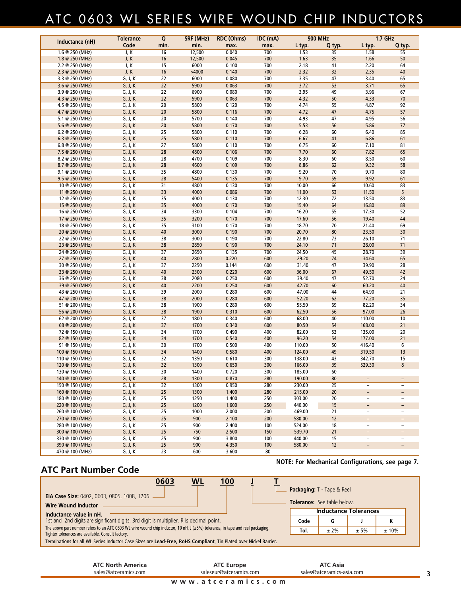## ATC 0603 WL SERIES WIRE WOUND CHIP INDUCTORS

|                                    | <b>Tolerance</b>   | $\overline{\mathsf{Q}}$ | SRF (MHz)    | <b>RDC (Ohms)</b> | IDC (mA)   | <b>900 MHz</b>   |                          | <b>1.7 GHz</b>                                       |                               |
|------------------------------------|--------------------|-------------------------|--------------|-------------------|------------|------------------|--------------------------|------------------------------------------------------|-------------------------------|
| Inductance (nH)                    | Code               | min.                    | min.         | max.              | max.       | L typ.           | Q typ.                   | L typ.                                               | Q typ.                        |
| 1.6 @ 250 (MHz)                    | J, K               | 16                      | 12,500       | 0.040             | 700        | 1.53             | 35                       | 1.58                                                 | 55                            |
| 1.8 @ 250 (MHz)                    | J, K               | 16                      | 12,500       | 0.045             | 700        | 1.63             | 35                       | 1.66                                                 | 50                            |
| 2.2 @ 250 (MHz)                    | J, K               | 15                      | 6000         | 0.100             | 700        | 2.18             | 41                       | 2.20                                                 | 64                            |
| 2.3 @ 250 (MHz)                    | J, K               | 16                      | >4000        | 0.140             | 700        | 2.32             | 32                       | 2.35                                                 | 40                            |
| 3.3 @ 250 (MHz)                    | G, J, K            | 22                      | 6000         | 0.080             | 700        | 3.35             | 47                       | 3.40                                                 | 65                            |
| 3.6 @ 250 (MHz)                    | G, J, K            | $\overline{22}$         | 5900         | 0.063             | 700        | 3.72             | 53                       | 3.71                                                 | 65                            |
| 3.9 @ 250 (MHz)                    | G, J, K            | 22                      | 6900         | 0.080             | 700        | 3.95             | 49                       | 3.96                                                 | 67                            |
| 4.3 @ 250 (MHz)                    | G, J, K            | 22                      | 5900         | 0.063             | 700        | 4.32             | 50                       | 4.33                                                 | 70                            |
| 4.5 @ 250 (MHz)                    | G, J. K            | 20                      | 5800         | 0.120             | 700        | 4.74             | 55                       | 4.87                                                 | 92                            |
| 4.7 @ 250 (MHz)                    | G, J, K            | 20                      | 5800         | 0.116             | 700        | 4.72             | 47                       | 4.75                                                 | 57                            |
| 5.1 @ 250 (MHz)                    | G, J, K            | 20                      | 5700         | 0.140             | 700        | 4.93             | 47                       | 4.95                                                 | 56                            |
| 5.6 @ 250 (MHz)                    | G, J, K            | 20                      | 5800         | 0.170             | 700        | 5.53             | 56                       | 5.86                                                 | 77                            |
| 6.2 @ 250 (MHz)                    | G, J, K            | 25                      | 5800         | 0.110             | 700        | 6.28             | 60                       | 6.40                                                 | 85                            |
| 6.3 @ 250 (MHz)                    | G, J, K            | 25                      | 5800         | 0.110             | 700        | 6.67             | 41                       | 6.86                                                 | 61                            |
| 6.8 @ 250 (MHz)                    | G, J, K            | 27                      | 5800         | 0.110             | 700        | 6.75             | 60                       | 7.10                                                 | 81                            |
| 7.5 @ 250 (MHz)                    | G, J, K            | 28                      | 4800         | 0.106             | 700        | 7.70             | 60                       | 7.82                                                 | 65                            |
| 8.2 @ 250 (MHz)                    | G, J, K            | 28                      | 4700         | 0.109             | 700        | 8.30             | 60                       | 8.50                                                 | 60                            |
| 8.7 @ 250 (MHz)                    | G, J, K            | 28                      | 4600<br>4800 | 0.109             | 700<br>700 | 8.86             | 62                       | 9.32<br>9.70                                         | 58                            |
| 9.1 @ 250 (MHz)                    | G, J, K            | 35<br>28                | 5400         | 0.130<br>0.135    | 700        | 9.20<br>9.70     | 70<br>59                 | 9.92                                                 | 80<br>61                      |
| 9.5 @ 250 (MHz)                    | G, J, K            | 31                      | 4800         | 0.130             | 700        | 10.00            | 66                       | 10.60                                                | 83                            |
| 10 @ 250 (MHz)                     | G, J, K<br>G, J, K | 33                      | 4000         | 0.086             | 700        | 11.00            | 53                       | 11.50                                                | 5                             |
| 11 @ 250 (MHz)<br>12 @ 250 (MHz)   | G, J, K            | 35                      | 4000         | 0.130             | 700        | 12.30            | 72                       | 13.50                                                | 83                            |
| 15 @ 250 (MHz)                     | G, J, K            | 35                      | 4000         | 0.170             | 700        | 15.40            | 64                       | 16.80                                                | 89                            |
| 16 @ 250 (MHz)                     | G, J, K            | 34                      | 3300         | 0.104             | 700        | 16.20            | 55                       | 17.30                                                | 52                            |
| 17 @ 250 (MHz)                     | G, J, K            | 35                      | 3200         | 0.170             | 700        | 17.60            | 56                       | 19.40                                                | 44                            |
| 18 @ 250 (MHz)                     | G, J, K            | 35                      | 3100         | 0.170             | 700        | 18.70            | 70                       | 21.40                                                | 69                            |
| 20 @ 250 (MHz)                     | G, J, K            | 40                      | 3000         | 0.190             | 700        | 20.70            | 80                       | 23.50                                                | 30                            |
| 22 @ 250 (MHz)                     | G, J, K            | 38                      | 3000         | 0.190             | 700        | 22.80            | 73                       | 26.10                                                | 71                            |
| 23 @ 250 (MHz)                     | G, J, K            | 38                      | 2850         | 0.190             | 700        | 24.10            | 71                       | 28.00                                                | 71                            |
| 24 @ 250 (MHz)                     | G, J, K            | $\overline{37}$         | 2650         | 0.135             | 700        | 24.50            | 45                       | 28.70                                                | 39                            |
| 27 @ 250 (MHz)                     | G, J, K            | 40                      | 2800         | 0.220             | 600        | 29.20            | 74                       | 34.60                                                | 65                            |
| 30 @ 250 (MHz)                     | G, J, K            | 37                      | 2250         | 0.144             | 600        | 31.40            | 47                       | 39.90                                                | 28                            |
| 33 @ 250 (MHz)                     | G, J, K            | 40                      | 2300         | 0.220             | 600        | 36.00            | 67                       | 49.50                                                | 42                            |
| 36 @ 250 (MHz)                     | G, J, K            | 38                      | 2080         | 0.250             | 600        | 39.40            | 47                       | 52.70                                                | 24                            |
| 39 @ 250 (MHz)                     | G, J, K            | 40                      | 2200         | 0.250             | 600        | 42.70            | 60                       | 60.20                                                | 40                            |
| 43 @ 250 (MHz)                     | G, J, K            | 39                      | 2000         | 0.280             | 600        | 47.00            | 44                       | 64.90                                                | 21                            |
| 47 @ 200 (MHz)                     | G, J, K            | 38                      | 2000         | 0.280             | 600        | 52.20            | 62                       | 77.20                                                | 35                            |
| 51 @ 200 (MHz)                     | G, J, K            | 38                      | 1900         | 0.280             | 600        | 55.50            | 69                       | 82.20                                                | 34                            |
| 56 @ 200 (MHz)                     | G, J, K            | 38                      | 1900         | 0.310             | 600        | 62.50            | 56                       | 97.00                                                | 26                            |
| 62 @ 200 (MHz)                     | G, J, K            | $\overline{37}$         | 1800         | 0.340             | 600        | 68.00            | 40                       | 110.00                                               | 10                            |
| 68 @ 200 (MHz)                     | G, J, K            | 37                      | 1700         | 0.340             | 600        | 80.50            | 54                       | 168.00                                               | 21                            |
| 72 @ 150 (MHz)                     | G, J, K            | 34                      | 1700         | 0.490             | 400        | 82.00            | 53                       | 135.00                                               | 20                            |
| 82 @ 150 (MHz)                     | G, J, K            | 34                      | 1700         | 0.540             | 400        | 96.20            | 54                       | 177.00                                               | 21                            |
| 91 @ 150 (MHz)                     | G, J, K            | 30                      | 1700         | 0.500             | 400        | 110.00           | 50                       | 416.40                                               | 6                             |
| 100 @ 150 (MHz)                    | G, J, K            | $\overline{34}$         | 1400         | 0.580             | 400        | 124.00           | 49                       | 319.50                                               | $\overline{13}$               |
| 110 @ 150 (MHz)                    | G, J, K            | 32                      | 1350         | 0.610             | 300        | 138.00           | 43                       | 342.70                                               | 15                            |
| 120 @ 150 (MHz)                    | G, J, K            | 32                      | 1300         | 0.650             | 300        | 166.00           | 39                       | 529.30                                               | 8                             |
| 130 @ 150 (MHz)                    | G, J, K            | 30                      | 1400         | 0.720             | 300        | 185.00           | 60                       |                                                      |                               |
| 140 @ 100 (MHz)                    | G, J, K            | 28                      | 1300         | 0.870             | 280        | 190.00           | 80                       | $\overline{\phantom{a}}$                             | -                             |
| 150 @ 150 (MHz)                    | G, J, K            | 32                      | 1300         | 0.950             | 280        | 230.00           | 25                       | $\qquad \qquad -$                                    | $\overline{\phantom{0}}$      |
| 160 @ 100 (MHz)                    | G, J, K            | 25                      | 1300         | 1.400             | 280        | 215.00           | 20                       |                                                      | -                             |
| 180 @ 100 (MHz)<br>220 @ 100 (MHz) | G, J, K<br>G, J, K | 25<br>25                | 1250<br>1200 | 1.400<br>1.600    | 250<br>250 | 303.00<br>440.00 | 20<br>15                 | $\overline{\phantom{a}}$                             | $\overline{\phantom{0}}$      |
| 260 @ 100 (MHz)                    |                    | 25                      | 1000         | 2.000             | 200        | 469.00           |                          | $\overline{\phantom{a}}$<br>$\overline{\phantom{a}}$ | $\overline{\phantom{0}}$<br>- |
| 270 @ 100 (MHz)                    | G, J, K<br>G, J, K | $\overline{25}$         | 900          | 2.100             | 200        | 580.00           | 21<br>12                 | $\overline{\phantom{a}}$                             | $\overline{\phantom{0}}$      |
| 280 @ 100 (MHz)                    | G, J, K            | 25                      | 900          | 2.400             | 100        | 524.00           | 18                       | $\overline{\phantom{a}}$                             | $\overline{\phantom{a}}$      |
| 300 @ 100 (MHz)                    | G, J, K            | 25                      | 750          | 2.500             | 150        | 539.70           | 21                       | $\overline{\phantom{a}}$                             | -                             |
| 330 @ 100 (MHz)                    | G, J, K            | 25                      | 900          | 3.800             | 100        | 440.00           | 15                       | $\overline{\phantom{a}}$                             | -                             |
| 390 @ 100 (MHz)                    | G, J, K            | 25                      | 900          | 4.350             | 100        | 580.00           | $12 \overline{ }$        | -                                                    | -                             |
| 470 @ 100 (MHz)                    | G, J, K            | 23                      | 600          | 3.600             | 80         |                  | $\overline{\phantom{0}}$ |                                                      |                               |

### **ATC Part Number Code**

| <b>WL</b><br>0603<br>100                                                                                                                                                                 |      | Packaging: T - Tape & Reel         |      |      |  |
|------------------------------------------------------------------------------------------------------------------------------------------------------------------------------------------|------|------------------------------------|------|------|--|
| <b>EIA Case Size: 0402, 0603, 0805, 1008, 1206</b>                                                                                                                                       |      |                                    |      |      |  |
| <b>Wire Wound Inductor</b>                                                                                                                                                               |      | <b>Tolerance:</b> See table below. |      |      |  |
| Inductance value in nH.                                                                                                                                                                  |      | <b>Inductance Tolerances</b>       |      |      |  |
| 1st and 2nd digits are significant digits. 3rd digit is multiplier. R is decimal point.                                                                                                  | Code | G                                  |      | к    |  |
| The above part number refers to an ATC 0603 WL wire wound chip inductor, 10 nH, $J(\pm 5%)$ tolerance, in tape and reel packaging.<br>Tighter tolerances are available. Consult factory. | Tol. | $± 2\%$                            | ± 5% | ±10% |  |
| Terminations for all WL Series Inductor Case Sizes are Lead-Free, RoHS Compliant, Tin Plated over Nickel Barrier.                                                                        |      |                                    |      |      |  |

| sales@atceramics.com     | saleseur@atceramics.com<br>www.atceramics.com | sales@atceramics-asia.com |  |
|--------------------------|-----------------------------------------------|---------------------------|--|
| <b>ATC North America</b> | <b>ATC Europe</b>                             | <b>ATC Asia</b>           |  |

**NOTE: For Mechanical Configurations, see page 7.**

 $\overline{\phantom{0}}$  3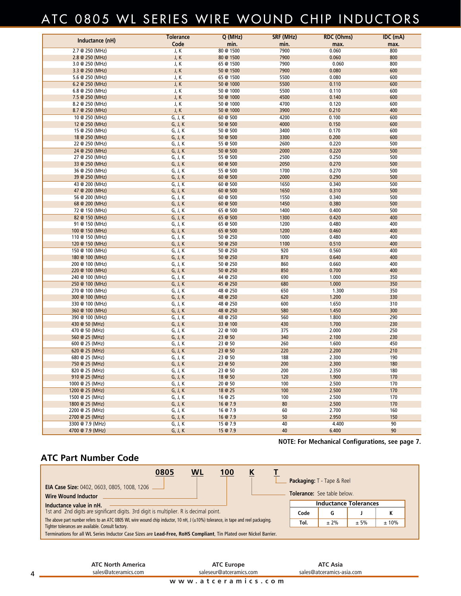### ATC 0805 WL SERIES WIRE WOUND CHIP INDUCTORS

| Inductance (nH)                    | <b>Tolerance</b>   | Q (MHz)              | <b>SRF (MHz)</b> | <b>RDC (Ohms)</b> | IDC (mA)   |
|------------------------------------|--------------------|----------------------|------------------|-------------------|------------|
|                                    | Code               | min.                 | min.             | max.              | max.       |
| 2.7 @ 250 (MHz)                    | J, K               | 80 @ 1500            | 7900             | 0.060             | 800        |
| 2.8 @ 250 (MHz)                    | J, K               | 80 @ 1500            | 7900             | 0.060             | 800        |
| 3.0 @ 250 (MHz)                    | J, K               | 65 @ 1500            | 7900             | 0.060             | 800        |
| $3.3 \otimes 250$ (MHz)            | J, K               | 50 @ 1500            | 7900             | 0.080             | 600        |
| 5.6 @ 250 (MHz)                    | J, K               | 65 @ 1500            | 5500             | 0.080             | 600        |
| 6.2 @ 250 (MHz)                    | J, K               | 50 @ 1000            | 5500             | 0.110             | 600        |
| $6.8 \otimes 250$ (MHz)            | J, K               | 50 @ 1000            | 5500             | 0.110             | 600        |
| 7.5 @ 250 (MHz)                    | J, K               | 50 @ 1000            | 4500             | 0.140             | 600        |
| 8.2 @ 250 (MHz)                    | J, K               | 50 @ 1000            | 4700             | 0.120             | 600        |
| 8.7 @ 250 (MHz)                    | J, K               | 50 @ 1000            | 3900             | 0.210             | 400        |
| 10 @ 250 (MHz)                     | G, J, K            | 60 @ 500             | 4200             | 0.100             | 600        |
| 12 @ 250 (MHz)                     | G, J, K            | 50 @ 500             | 4000             | 0.150             | 600        |
| 15 @ 250 (MHz)                     | G, J, K            | 50 @ 500             | 3400             | 0.170             | 600        |
| 18 @ 250 (MHz)                     | G, J, K            | 50 @ 500             | 3300             | 0.200             | 600        |
| 22 @ 250 (MHz)                     | G, J, K            | 55 @ 500             | 2600             | 0.220             | 500        |
| 24 @ 250 (MHz)                     | G, J, K            | 50 @ 500             | 2000             | 0.220             | 500        |
| 27 @ 250 (MHz)                     | G, J, K            | 55 @ 500             | 2500             | 0.250             | 500        |
| 33 @ 250 (MHz)                     | G, J, K            | 60 @ 500             | 2050             | 0.270             | 500        |
| 36 @ 250 (MHz)                     | G, J, K            | 55 @ 500             | 1700             | 0.270             | 500        |
| 39 @ 250 (MHz)                     | G, J, K            | 60 @ 500             | 2000             | 0.290             | 500        |
| 43 @ 200 (MHz)                     | G, J, K            | 60 @ 500             | 1650             | 0.340             | 500        |
| 47 @ 200 (MHz)                     | G, J, K            | 60 @ 500             | 1650             | 0.310             | 500        |
| 56 @ 200 (MHz)                     | G, J, K            | 60 @ 500             | 1550             | 0.340             | 500        |
| 68 @ 200 (MHz)                     | G, J, K            | 60 @ 500             | 1450             | 0.380             | 500        |
| 72 @ 150 (MHz)                     | G, J, K            | 65 @ 500             | 1400             | 0.400             | 500        |
| 82 @ 150 (MHz)                     | G, J, K            | 65 @ 500             | 1300             | 0.420             | 400        |
| 91 @ 150 (MHz)                     | G, J, K            | 65 @ 500             | 1200             | 0.480             | 400        |
| 100 @ 150 (MHz)                    | G, J, K            | 65 @ 500             | 1200             | 0.460             | 400        |
| 110 @ 150 (MHz)                    | G, J, K            | 50 @ 250             | 1000             | 0.480             | 400        |
| 120 @ 150 (MHz)                    | G, J, K            | 50 @ 250             | 1100             | 0.510             | 400        |
| 150 @ 100 (MHz)                    | G, J, K            | 50 @ 250             | 920              | 0.560             | 400        |
| 180 @ 100 (MHz)                    | G, J, K            | 50 @ 250             | 870              | 0.640             | 400<br>400 |
| 200 @ 100 (MHz)                    | G, J, K<br>G, J, K | 50 @ 250<br>50 @ 250 | 860<br>850       | 0.660<br>0.700    | 400        |
| 220 @ 100 (MHz)                    | G, J, K            | 44 @ 250             | 690              | 1.000             | 350        |
| 240 @ 100 (MHz)<br>250 @ 100 (MHz) | G, J, K            | 45 @ 250             | 680              | 1.000             | 350        |
| 270 @ 100 (MHz)                    | G, J, K            | 48 @ 250             | 650              | 1.300             | 350        |
| 300 @ 100 (MHz)                    | G, J, K            | 48 @ 250             | 620              | 1.200             | 330        |
| 330 @ 100 (MHz)                    | G, J, K            | 48 @ 250             | 600              | 1.650             | 310        |
| 360 @ 100 (MHz)                    | G, J, K            | 48 @ 250             | 580              | 1.450             | 300        |
| 390 @ 100 (MHz)                    | G, J, K            | 48 @ 250             | 560              | 1.800             | 290        |
| 430 @ 50 (MHz)                     | G, J, K            | 33 @ 100             | 430              | 1.700             | 230        |
| 470 @ 50 (MHz)                     | G, J, K            | 22 @ 100             | 375              | 2.000             | 250        |
| 560 @ 25 (MHz)                     | G, J, K            | 23 @ 50              | 340              | 2.100             | 230        |
| 600 @ 25 (MHz)                     | G, J, K            | 23 @ 50              | 260              | 1.600             | 450        |
| 620 @ 25 (MHz)                     | G, J, K            | 23 @ 50              | 220              | 2.200             | 210        |
| 680 @ 25 (MHz)                     | G, J, K            | 23 @ 50              | 188              | 2.300             | 190        |
| 750 @ 25 (MHz)                     | G, J, K            | 23 @ 50              | 200              | 2.300             | 180        |
| 820 @ 25 (MHz)                     | G, J, K            | 23 @ 50              | 200              | 2.350             | 180        |
| 910 @ 25 (MHz)                     | G, J, K            | 18 @ 50              | 120              | 1.900             | 170        |
| 1000 @ 25 (MHz)                    | G, J, K            | 20 @ 50              | 100              | 2.500             | 170        |
| 1200 @ 25 (MHz)                    | G, J, K            | 18 @ 25              | 100              | 2.500             | 170        |
| 1500 @ 25 (MHz)                    | G, J, K            | 16 @ 25              | 100              | 2.500             | 170        |
| 1800 @ 25 (MHz)                    | G, J, K            | 16 @ 7.9             | 80               | 2.500             | 170        |
| 2200 @ 25 (MHz)                    | G, J, K            | 16 @ 7.9             | 60               | 2.700             | 160        |
| 2700 @ 25 (MHz)                    | G, J, K            | 16 @ 7.9             | 50               | 2.950             | 150        |
| 3300 @ 7.9 (MHz)                   | G, J, K            | 15 @ 7.9             | 40               | 4.400             | 90         |
| 4700 @ 7.9 (MHz)                   | G, J, K            | 15 @ 7.9             | 40               | 6.400             | 90         |

**NOTE: For Mechanical Configurations, see page 7.**

### **ATC Part Number Code**

| 0805<br><b>WL</b><br>100<br><u>K</u>                                                                                                                                                        |      | Packaging: T - Tape & Reel         |      |      |
|---------------------------------------------------------------------------------------------------------------------------------------------------------------------------------------------|------|------------------------------------|------|------|
| <b>EIA Case Size: 0402, 0603, 0805, 1008, 1206</b><br><b>Wire Wound Inductor</b>                                                                                                            |      | <b>Tolerance:</b> See table below. |      |      |
| Inductance value in nH.<br>1st and 2nd digits are significant digits. 3rd digit is multiplier. R is decimal point.                                                                          |      | <b>Inductance Tolerances</b>       |      |      |
|                                                                                                                                                                                             | Code | G                                  |      | ĸ    |
| The above part number refers to an ATC 0805 WL wire wound chip inductor, 10 nH, J $(\pm 10\%)$ tolerance, in tape and reel packaging.<br>Tighter tolerances are available. Consult factory. | Tol. | $± 2\%$                            | ± 5% | ±10% |
| Terminations for all WL Series Inductor Case Sizes are Lead-Free, RoHS Compliant, Tin Plated over Nickel Barrier.                                                                           |      |                                    |      |      |

**ATC Europe** saleseur@atceramics.com

**ATC Asia** sales@atceramics-asia.com

**www.atceramics.com**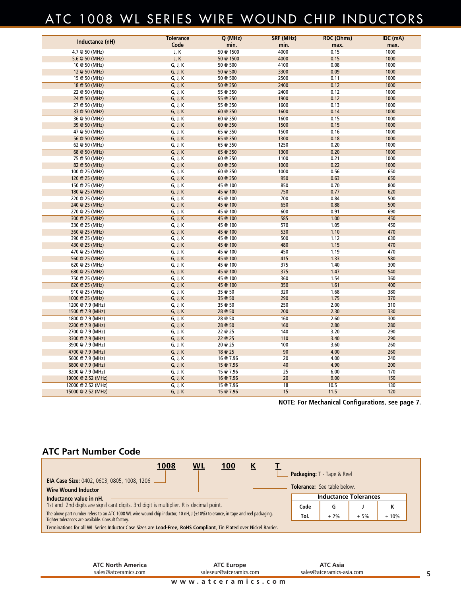### ATC 1008 WL SERIES WIRE WOUND CHIP INDUCTORS

| Inductance (nH)                 | <b>Tolerance</b>   | Q (MHz)              | SRF (MHz)    | <b>RDC (Ohms)</b> | IDC (mA)     |
|---------------------------------|--------------------|----------------------|--------------|-------------------|--------------|
|                                 | Code               | min.                 | min.         | max.              | max.         |
| 4.7 @ 50 (MHz)                  | J, K               | 50 @ 1500            | 4000         | 0.15              | 1000         |
| 5.6 @ 50 (MHz)                  | J, K               | 50 @ 1500            | 4000         | 0.15              | 1000         |
| 10 @ 50 (MHz)                   | G, J, K            | 50 @ 500             | 4100         | 0.08              | 1000         |
| 12 @ 50 (MHz)                   | G, J, K            | 50 @ 500             | 3300         | 0.09              | 1000         |
| 15 @ 50 (MHz)                   | G, J, K            | 50 @ 500             | 2500         | 0.11              | 1000         |
| 18 @ 50 (MHz)                   | G, J, K            | 50 @ 350             | 2400         | 0.12              | 1000         |
| 22 @ 50 (MHz)                   | G, J, K            | 55 @ 350             | 2400         | 0.12              | 1000         |
| 24 @ 50 (MHz)                   | G, J, K            | 55 @ 350             | 1900         | 0.12              | 1000         |
| 27 @ 50 (MHz)                   | G, J, K            | 55 @ 350             | 1600         | 0.13              | 1000         |
| 33 @ 50 (MHz)                   | G, J, K            | 60 @ 350             | 1600         | 0.14              | 1000         |
| 36 @ 50 (MHz)                   | G, J, K            | 60 @ 350             | 1600         | 0.15              | 1000         |
| 39 @ 50 (MHz)                   | G, J, K            | 60 @ 350             | 1500         | 0.15              | 1000         |
| 47 @ 50 (MHz)                   | G, J, K            | 65 @ 350             | 1500         | 0.16              | 1000         |
| 56 @ 50 (MHz)                   | G, J, K            | 65 @ 350             | 1300         | 0.18              | 1000         |
| 62 @ 50 (MHz)                   | G, J, K            | 65 @ 350             | 1250         | 0.20              | 1000         |
| 68 @ 50 (MHz)                   | G, J, K            | 65 @ 350             | 1300         | 0.20              | 1000         |
| 75 @ 50 (MHz)                   | G, J, K<br>G, J, K | 60 @ 350<br>60 @ 350 | 1100<br>1000 | 0.21<br>0.22      | 1000<br>1000 |
| 82 @ 50 (MHz)<br>100 @ 25 (MHz) | G, J, K            | 60 @ 350             | 1000         | 0.56              | 650          |
| 120 @ 25 (MHz)                  | G, J, K            | 60 @ 350             | 950          | 0.63              | 650          |
| 150 @ 25 (MHz)                  | G, J, K            | 45 @ 100             | 850          | 0.70              | 800          |
| 180 @ 25 (MHz)                  | G, J, K            | 45 @ 100             | 750          | 0.77              | 620          |
| 220 @ 25 (MHz)                  | G, J, K            | 45 @ 100             | 700          | 0.84              | 500          |
| 240 @ 25 (MHz)                  | G, J, K            | 45 @ 100             | 650          | 0.88              | 500          |
| 270 @ 25 (MHz)                  | G, J, K            | 45 @ 100             | 600          | 0.91              | 690          |
| 300 @ 25 (MHz)                  | G, J, K            | 45 @ 100             | 585          | 1.00              | 450          |
| 330 @ 25 (MHz)                  | G, J, K            | 45 @ 100             | 570          | 1.05              | 450          |
| 360 @ 25 (MHz)                  | G, J, K            | 45 @ 100             | 530          | 1.10              | 470          |
| 390 @ 25 (MHz)                  | G, J, K            | 45 @ 100             | 500          | 1.12              | 630          |
| 430 @ 25 (MHz)                  | G, J, K            | 45 @ 100             | 480          | 1.15              | 470          |
| 470 @ 25 (MHz)                  | G, J, K            | 45 @ 100             | 450          | 1.19              | 470          |
| 560 @ 25 (MHz)                  | G, J, K            | 45 @ 100             | 415          | 1.33              | 580          |
| 620 @ 25 (MHz)                  | G, J, K            | 45 @ 100             | 375          | 1.40              | 300          |
| 680 @ 25 (MHz)                  | G, J, K            | 45 @ 100             | 375          | 1.47              | 540          |
| 750 @ 25 (MHz)                  | G, J, K            | 45 @ 100             | 360          | 1.54              | 360          |
| 820 @ 25 (MHz)                  | G, J, K            | 45 @ 100             | 350          | 1.61              | 400          |
| 910 @ 25 (MHz)                  | G, J, K            | 35 @ 50              | 320          | 1.68              | 380          |
| 1000 @ 25 (MHz)                 | G, J, K            | 35 @ 50              | 290          | 1.75              | 370          |
| 1200 @ 7.9 (MHz)                | G, J, K            | 35 @ 50              | 250          | 2.00              | 310          |
| 1500 @ 7.9 (MHz)                | G, J, K            | 28 @ 50              | 200          | 2.30              | 330          |
| 1800 @ 7.9 (MHz)                | G, J, K            | 28 @ 50              | 160          | 2.60              | 300          |
| 2200 @ 7.9 (MHz)                | G, J, K            | 28 @ 50              | 160          | 2.80              | 280          |
| 2700 @ 7.9 (MHz)                | G, J, K            | 22 @ 25              | 140          | 3.20              | 290          |
| 3300 @ 7.9 (MHz)                | G, J, K            | 22 @ 25              | 110          | 3.40              | 290          |
| 3900 @ 7.9 (MHz)                | G, J, K            | 20 @ 25              | 100          | 3.60              | 260          |
| 4700 @ 7.9 (MHz)                | G, J, K            | 18 @ 25              | 90           | 4.00              | 260          |
| 5600 @ 7.9 (MHz)                | G, J, K            | 16 @ 7.96            | 20           | 4.00              | 240          |
| 6800 @ 7.9 (MHz)                | G, J, K            | 15 @ 7.96            | 40           | 4.90              | 200          |
| 8200 @ 7.9 (MHz)                | G, J, K            | 15 @ 7.96            | 25           | 6.00              | 170          |
| 10000 @ 2.52 (MHz)              | G, J, K            | 16 @ 7.96            | 20           | 9.00              | 150          |
| 12000 @ 2.52 (MHz)              | G, J, K            | 15 @ 7.96            | 18           | 10.5              | 130          |
| 15000 @ 2.52 (MHz)              | G, J, K            | 15 @ 7.96            | 15           | 11.5              | 120          |

**NOTE: For Mechanical Configurations, see page 7.**

### **ATC Part Number Code**

| 1008<br>WL<br>100                                                                                                                                                                           |      | <b>Packaging: T</b> - Tape & Reel  |      |           |
|---------------------------------------------------------------------------------------------------------------------------------------------------------------------------------------------|------|------------------------------------|------|-----------|
| <b>EIA Case Size: 0402, 0603, 0805, 1008, 1206</b><br><b>Wire Wound Inductor</b>                                                                                                            |      | <b>Tolerance:</b> See table below. |      |           |
| Inductance value in nH.<br>1st and 2nd digits are significant digits. 3rd digit is multiplier. R is decimal point.                                                                          | Code | <b>Inductance Tolerances</b><br>G  |      |           |
| The above part number refers to an ATC 1008 WL wire wound chip inductor, 10 nH, J $(\pm 10\%)$ tolerance, in tape and reel packaging.<br>Tighter tolerances are available. Consult factory. | Tol. | $± 2\%$                            | ± 5% | N<br>±10% |
| Terminations for all WL Series Inductor Case Sizes are Lead-Free, RoHS Compliant, Tin Plated over Nickel Barrier.                                                                           |      |                                    |      |           |

**www.atceramics.com ATC Europe** saleseur@atceramics.com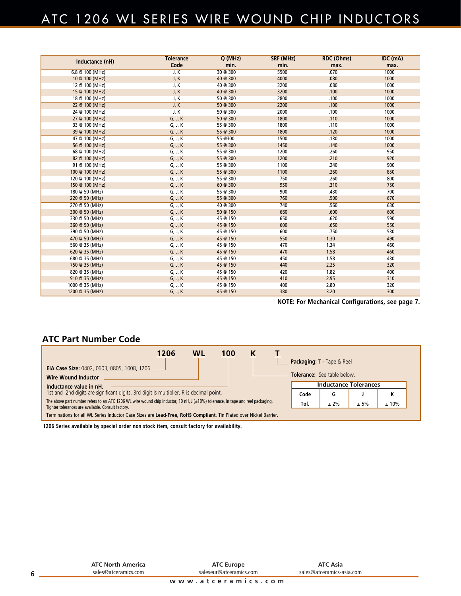### ATC 1206 WL SERIES WIRE WOUND CHIP INDUCTORS

| Inductance (nH) | <b>Tolerance</b> | Q(MHz)   | SRF (MHz) | <b>RDC (Ohms)</b> | IDC (mA) |
|-----------------|------------------|----------|-----------|-------------------|----------|
|                 | Code             | min.     | min.      | max.              | max.     |
| 6.8 @ 100 (MHz) | J, K             | 30 @ 300 | 5500      | .070              | 1000     |
| 10 @ 100 (MHz)  | J, K             | 40 @ 300 | 4000      | .080              | 1000     |
| 12 @ 100 (MHz)  | J, K             | 40 @ 300 | 3200      | .080              | 1000     |
| 15 @ 100 (MHz)  | J, K             | 40 @ 300 | 3200      | .100              | 1000     |
| 18 @ 100 (MHz)  | J, K             | 50 @ 300 | 2800      | .100              | 1000     |
| 22 @ 100 (MHz)  | J, K             | 50 @ 300 | 2200      | .100              | 1000     |
| 24 @ 100 (MHz)  | J, K             | 50 @ 300 | 2000      | .100              | 1000     |
| 27 @ 100 (MHz)  | G, J, K          | 50 @ 300 | 1800      | .110              | 1000     |
| 33 @ 100 (MHz)  | G, J, K          | 55 @ 300 | 1800      | .110              | 1000     |
| 39 @ 100 (MHz)  | G, J, K          | 55 @ 300 | 1800      | .120              | 1000     |
| 47 @ 100 (MHz)  | G, J, K          | 55 @300  | 1500      | .130              | 1000     |
| 56 @ 100 (MHz)  | G, J, K          | 55 @ 300 | 1450      | .140              | 1000     |
| 68 @ 100 (MHz)  | G, J, K          | 55 @ 300 | 1200      | .260              | 950      |
| 82 @ 100 (MHz)  | G, J, K          | 55 @ 300 | 1200      | .210              | 920      |
| 91 @ 100 (MHz)  | G, J, K          | 55 @ 300 | 1100      | .240              | 900      |
| 100 @ 100 (MHz) | G, J, K          | 55 @ 300 | 1100      | .260              | 850      |
| 120 @ 100 (MHz) | G, J, K          | 55 @ 300 | 750       | .260              | 800      |
| 150 @ 100 (MHz) | G, J, K          | 60 @ 300 | 950       | .310              | 750      |
| 180 @ 50 (MHz)  | G, J, K          | 55 @ 300 | 900       | .430              | 700      |
| 220 @ 50 (MHz)  | G, J, K          | 55 @ 300 | 760       | .500              | 670      |
| 270 @ 50 (MHz)  | G, J, K          | 40 @ 300 | 740       | .560              | 630      |
| 300 @ 50 (MHz)  | G, J, K          | 50 @ 150 | 680       | .600              | 600      |
| 330 @ 50 (MHz)  | G, J, K          | 45 @ 150 | 650       | .620              | 590      |
| 360 @ 50 (MHz)  | G, J, K          | 45 @ 150 | 600       | .650              | 550      |
| 390 @ 50 (MHz)  | G, J, K          | 45 @ 150 | 600       | .750              | 530      |
| 470 @ 50 (MHz)  | G, J, K          | 45 @ 150 | 550       | 1.30              | 490      |
| 560 @ 35 (MHz)  | G, J, K          | 45 @ 150 | 470       | 1.34              | 460      |
| 620 @ 35 (MHz)  | G, J, K          | 45 @ 150 | 470       | 1.58              | 460      |
| 680 @ 35 (MHz)  | G, J, K          | 45 @ 150 | 450       | 1.58              | 430      |
| 750 @ 35 (MHz)  | G, J, K          | 45 @ 150 | 440       | 2.25              | 320      |
| 820 @ 35 (MHz)  | G, J, K          | 45 @ 150 | 420       | 1.82              | 400      |
| 910 @ 35 (MHz)  | G, J, K          | 45 @ 150 | 410       | 2.95              | 310      |
| 1000 @ 35 (MHz) | G, J, K          | 45 @ 150 | 400       | 2.80              | 320      |
| 1200 @ 35 (MHz) | G, J, K          | 45 @ 150 | 380       | 3.20              | 300      |

**NOTE: For Mechanical Configurations, see page 7.**

### **ATC Part Number Code**

| <b>WL</b><br>1206<br>100                                                                                                                                                                    |      |                                    |      |        |
|---------------------------------------------------------------------------------------------------------------------------------------------------------------------------------------------|------|------------------------------------|------|--------|
|                                                                                                                                                                                             |      | Packaging: T - Tape & Reel         |      |        |
| <b>EIA Case Size: 0402, 0603, 0805, 1008, 1206</b>                                                                                                                                          |      | <b>Tolerance:</b> See table below. |      |        |
| <b>Wire Wound Inductor</b>                                                                                                                                                                  |      |                                    |      |        |
| Inductance value in nH.                                                                                                                                                                     |      | <b>Inductance Tolerances</b>       |      |        |
| 1st and 2nd digits are significant digits. 3rd digit is multiplier. R is decimal point.                                                                                                     | Code | G                                  |      | v<br>N |
| The above part number refers to an ATC 1206 WL wire wound chip inductor, 10 nH, J ( $\pm$ 10%) tolerance, in tape and reel packaging.<br>Tighter tolerances are available. Consult factory. | Tol. | ± 2%                               | ± 5% | ±10%   |
| Terminations for all WL Series Inductor Case Sizes are Lead-Free, RoHS Compliant, Tin Plated over Nickel Barrier.                                                                           |      |                                    |      |        |

**1206 Series available by special order non stock item, consult factory for availability.**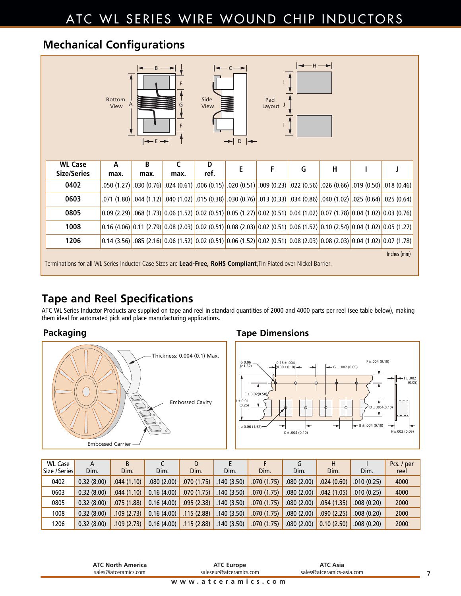### ATC WL SERIES WIRE WOUND CHIP INDUCTORS

### **Mechanical Configurations**

| ╼─⊣─><br>╼═<br>$-R$<br>Side<br><b>Bottom</b><br>Pad<br>View<br>View<br>G<br>Layout<br>F<br>$\left  \leftarrow \varepsilon \rightarrow \right $<br>$\rightarrow$ D $\rightarrow$ |           |                                        |            |           |   |   |   |                         |                                                                                                                                                                                   |                                                                                                                                                           |
|---------------------------------------------------------------------------------------------------------------------------------------------------------------------------------|-----------|----------------------------------------|------------|-----------|---|---|---|-------------------------|-----------------------------------------------------------------------------------------------------------------------------------------------------------------------------------|-----------------------------------------------------------------------------------------------------------------------------------------------------------|
| <b>WL Case</b><br><b>Size/Series</b>                                                                                                                                            | A<br>max. | B<br>max.                              | C<br>max.  | D<br>ref. | E | F | G | $\overline{\mathsf{H}}$ |                                                                                                                                                                                   |                                                                                                                                                           |
| 0402                                                                                                                                                                            |           | .050 (1.27) .030 (0.76) <mark>.</mark> | .024(0.61) |           |   |   |   |                         | .006 (0.15) .020 (0.51) .009 (0.23) .022 (0.56) .026 (0.66) .019 (0.50) .018 (0.46)                                                                                               |                                                                                                                                                           |
| 0603                                                                                                                                                                            |           |                                        |            |           |   |   |   |                         |                                                                                                                                                                                   | .025 (0.64) .025 (0.64) .025 (0.64) .025 (0.86) .030 (0.76) .013 (0.76) .030 (0.76) .030 (0.76) .040 (1.02) .025 (0.64) .025 (0.64)                       |
| 0805                                                                                                                                                                            |           |                                        |            |           |   |   |   |                         | $(0.09 (2.29) \cdot 0.068 (1.73) \cdot 0.06 (1.52) \cdot 0.02 (0.51) \cdot 0.05 (1.27) \cdot 0.02 (0.51) \cdot 0.04 (1.02) \cdot 0.07 (1.78) \cdot 0.04 (1.02) \cdot 0.03 (0.76)$ |                                                                                                                                                           |
| 1008                                                                                                                                                                            |           |                                        |            |           |   |   |   |                         |                                                                                                                                                                                   | $0.16$ (4.06) $0.11$ (2.79) $0.08$ (2.03) $0.02$ (0.51) $0.08$ (2.03) $0.02$ (0.51) $0.06$ (1.52) $0.06$ (1.52) $0.10$ (2.54) $0.04$ (1.02) $0.05$ (1.27) |
| 1206                                                                                                                                                                            |           |                                        |            |           |   |   |   |                         |                                                                                                                                                                                   | $0.14$ (3.56) $0.08$ (2.16) $0.06$ (1.52) $0.02$ (0.51) $0.06$ (1.52) $0.02$ (0.51) $0.02$ (0.71) $0.08$ (2.03) $0.08$ (2.03) $0.04$ (1.02) $0.07$ (1.78) |
| Inches (mm)<br>Terminations for all WL Series Inductor Case Sizes are Lead-Free, RoHS Compliant, Tin Plated over Nickel Barrier.                                                |           |                                        |            |           |   |   |   |                         |                                                                                                                                                                                   |                                                                                                                                                           |

### **Tape and Reel Specifications**

ATC WL Series Inductor Products are supplied on tape and reel in standard quantities of 2000 and 4000 parts per reel (see table below), making them ideal for automated pick and place manufacturing applications.



### **Packaging Tape Dimensions**



| <b>WL Case</b> | А          |            |                                                                                                                             | D                                         |            |            | Л          |                                           |            | Pcs. / per |
|----------------|------------|------------|-----------------------------------------------------------------------------------------------------------------------------|-------------------------------------------|------------|------------|------------|-------------------------------------------|------------|------------|
| Size / Series  | Dim.       | Dim.       | Dim.                                                                                                                        | Dim.                                      | Dim.       | Dim.       | Dim.       | Dim.                                      | Dim.       | reel       |
| 0402           | 0.32(8.00) | .044(1.10) |                                                                                                                             | $.080$ (2.00) $.070$ (1.75) $.140$ (3.50) |            | .070(1.75) |            | $.080(2.00)$ $.024(0.60)$ $.010(0.25)$    |            | 4000       |
| 0603           | 0.32(8.00) |            | $.044(1.10)$ 0.16 (4.00) 0.070 (1.75) 140 (3.50) 0.044                                                                      |                                           |            | .070(1.75) |            | $.080$ (2.00) $.042$ (1.05) $.010$ (0.25) |            | 4000       |
| 0805           | 0.32(8.00) |            | $\therefore$ 075 (1.88) 0.08 (4.00) 0.09 (2.38) 0.09 (1.75) 0.09 (1.75) 0.09 (4.00 0.09 0.16 (4.00) 0.09 (4.00) 0.09 (1.75) |                                           |            |            |            |                                           |            | 2000       |
| 1008           | 0.32(8.00) |            | $.109(2.73)$ 0.16 (4.00) 115 (2.88) 140 (3.50) 109                                                                          |                                           |            | .070(1.75) |            | $.080(2.00)$ $.090(2.25)$ $.008(0.20)$    |            | 2000       |
| 1206           | 0.32(8.00) | .109(2.73) | 0.16(4.00)                                                                                                                  | $\vert$ .115 (2.88) $\vert$               | .140(3.50) | .070(1.75) | .080(2.00) | 0.10(2.50)                                | .008(0.20) | 2000       |

| <b>ATC North America</b> | <b>ATC Europe</b>       | <b>ATC Asia</b>           |  |
|--------------------------|-------------------------|---------------------------|--|
| sales@atceramics.com     | saleseur@atceramics.com | sales@atceramics-asia.com |  |
|                          | www.atceramics.com      |                           |  |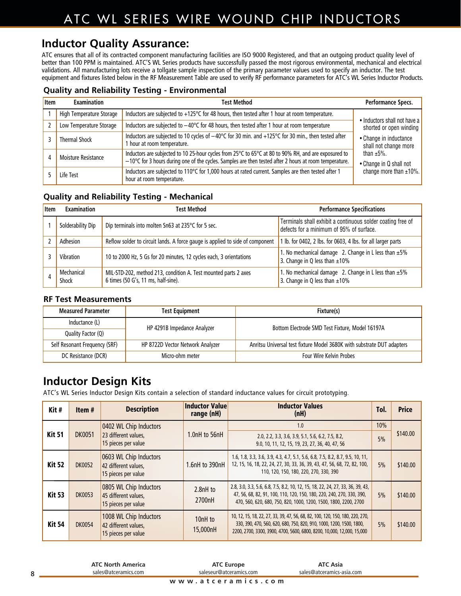### ATC WL SERIES WIRE WOUND CHIP INDUCTORS

### **Inductor Quality Assurance:**

ATC ensures that all of its contracted component manufacturing facilities are ISO 9000 Registered, and that an outgoing product quality level of better than 100 PPM is maintained. ATC'S WL Series products have successfully passed the most rigorous environmental, mechanical and electrical validations. All manufacturing lots receive a tollgate sample inspection of the primary parameter values used to specify an inductor. The test equipment and fixtures listed below in the RF Measurement Table are used to verify RF performance parameters for ATC's WL Series Inductor Products.

### **Quality and Reliability Testing - Environmental**

| <b>Item</b> | <b>Examination</b>       | <b>Test Method</b>                                                                                                                                                                                                       | Performance Specs.                              |  |
|-------------|--------------------------|--------------------------------------------------------------------------------------------------------------------------------------------------------------------------------------------------------------------------|-------------------------------------------------|--|
|             | High Temperature Storage | Inductors are subjected to +125°C for 48 hours, then tested after 1 hour at room temperature.                                                                                                                            | • Inductors shall not have a                    |  |
|             | Low Temperature Storage  | Inductors are subjected to $-40^{\circ}$ C for 48 hours, then tested after 1 hour at room temperature                                                                                                                    | shorted or open winding                         |  |
|             | <b>Thermal Shock</b>     | Inductors are subjected to 10 cycles of −40°C for 30 min. and +125°C for 30 min., then tested after<br>1 hour at room temperature.                                                                                       | • Change in inductance<br>shall not change more |  |
| Д           | Moisture Resistance      | Inductors are subjected to 10 25-hour cycles from 25°C to 65°C at 80 to 90% RH, and are exposured to<br>$-10^{\circ}$ C for 3 hours during one of the cycles. Samples are then tested after 2 hours at room temperature. | than $\pm 5\%$ .<br>• Change in Q shall not     |  |
|             | Life Test                | Inductors are subjected to 110°C for 1,000 hours at rated current. Samples are then tested after 1<br>hour at room temperature.                                                                                          | change more than ±10%.                          |  |

### **Quality and Reliability Testing - Mechanical**

| <b>Item</b> | <b>Examination</b>  | Test Method                                                                                            | <b>Performance Specifications</b>                                                                       |
|-------------|---------------------|--------------------------------------------------------------------------------------------------------|---------------------------------------------------------------------------------------------------------|
|             | Solderability Dip   | Dip terminals into molten Sn63 at 235°C for 5 sec.                                                     | Terminals shall exhibit a continuous solder coating free of<br>defects for a minimum of 95% of surface. |
|             | Adhesion            | Reflow solder to circuit lands. A force gauge is applied to side of component                          | 1 lb. for 0402, 2 lbs. for 0603, 4 lbs. for all larger parts                                            |
|             | Vibration           | 10 to 2000 Hz, 5 Gs for 20 minutes, 12 cycles each, 3 orientations                                     | 1. No mechanical damage 2. Change in L less than $\pm 5\%$<br>3. Change in Q less than $\pm 10\%$       |
|             | Mechanical<br>Shock | MIL-STD-202, method 213, condition A. Test mounted parts 2 axes<br>6 times (50 G's, 11 ms, half-sine). | 1. No mechanical damage 2. Change in L less than $\pm 5\%$<br>3. Change in Q less than $\pm 10\%$       |

#### **RF Test Measurements**

| <b>Measured Parameter</b>     | <b>Test Equipment</b>            | Fixture(s)                                                             |  |  |  |
|-------------------------------|----------------------------------|------------------------------------------------------------------------|--|--|--|
| Inductance (L)                | HP 4291B Impedance Analyzer      | Bottom Electrode SMD Test Fixture, Model 16197A                        |  |  |  |
| Quality Factor (Q)            |                                  |                                                                        |  |  |  |
| Self Resonant Frequency (SRF) | HP 8722D Vector Network Analyzer | Anritsu Universal test fixture Model 3680K with substrate DUT adapters |  |  |  |
| DC Resistance (DCR)           | Micro-ohm meter                  | <b>Four Wire Kelvin Probes</b>                                         |  |  |  |

### **Inductor Design Kits**

ATC's WL Series Inductor Design Kits contain a selection of standard inductance values for circuit prototyping.

| Kit#          | Item#         | <b>Description</b>                                                    | <b>Inductor Value</b><br>range (nH) | <b>Inductor Values</b><br>(nH)                                                                                                                                                                                                  | Tol.      | <b>Price</b> |
|---------------|---------------|-----------------------------------------------------------------------|-------------------------------------|---------------------------------------------------------------------------------------------------------------------------------------------------------------------------------------------------------------------------------|-----------|--------------|
| <b>Kit 51</b> | <b>DK0051</b> | 0402 WL Chip Inductors<br>23 different values.<br>15 pieces per value | 1.0nH to 56nH                       | 1.0<br>2.0, 2.2, 3.3, 3.6, 3.9, 5.1, 5.6, 6.2, 7.5, 8.2,<br>9.0, 10, 11, 12, 15, 19, 23, 27, 36, 40, 47, 56                                                                                                                     | 10%<br>5% | \$140.00     |
| <b>Kit 52</b> | <b>DK0052</b> | 0603 WL Chip Inductors<br>42 different values.<br>15 pieces per value | 1.6nH to 390nH                      | 1.6, 1.8, 3.3, 3.6, 3.9, 4.3, 4.7, 5.1, 5.6, 6.8, 7.5, 8.2, 8.7, 9.5, 10, 11,<br>12, 15, 16, 18, 22, 24, 27, 30, 33, 36, 39, 43, 47, 56, 68, 72, 82, 100,<br>110, 120, 150, 180, 220, 270, 330, 390                             |           | \$140.00     |
| <b>Kit 53</b> | <b>DK0053</b> | 0805 WL Chip Inductors<br>45 different values.<br>15 pieces per value | 2.8nH to<br>2700nH                  | 2.8, 3.0, 3.3, 5.6, 6.8, 7.5, 8.2, 10, 12, 15, 18, 22, 24, 27, 33, 36, 39, 43,<br>47, 56, 68, 82, 91, 100, 110, 120, 150, 180, 220, 240, 270, 330, 390,<br>470, 560, 620, 680, 750, 820, 1000, 1200, 1500, 1800, 2200, 2700     | 5%        | \$140.00     |
| <b>Kit 54</b> | <b>DK0054</b> | 1008 WL Chip Inductors<br>42 different values,<br>15 pieces per value | 10 <sub>nH</sub> to<br>15,000nH     | 10, 12, 15, 18, 22, 27, 33, 39, 47, 56, 68, 82, 100, 120, 150, 180, 220, 270,<br>330, 390, 470, 560, 620, 680, 750, 820, 910, 1000, 1200, 1500, 1800,<br>2200, 2700, 3300, 3900, 4700, 5600, 6800, 8200, 10,000, 12,000, 15,000 | 5%        | \$140.00     |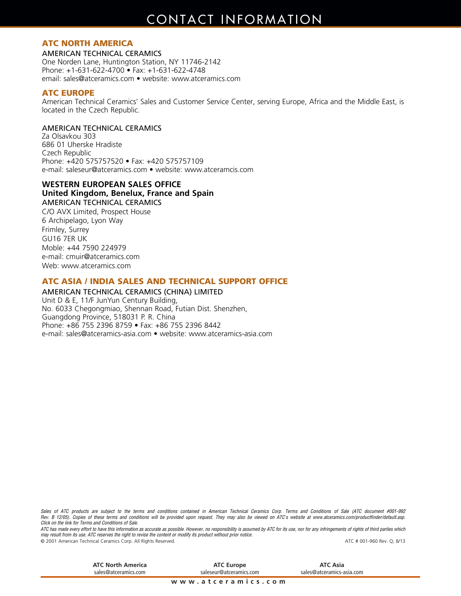### **CONTACT INFORMATION**

### **ATC NORTH AMERICA**

AMERICAN TECHNICAL CERAMICS

One Norden Lane, Huntington Station, NY 11746-2142 Phone: +1-631-622-4700 • Fax: +1-631-622-4748 email: sales@atceramics.com • website: www.atceramics.com

#### **ATC EUROPE**

American Technical Ceramics' Sales and Customer Service Center, serving Europe, Africa and the Middle East, is located in the Czech Republic.

#### AMERICAN TECHNICAL CERAMICS

Za Olsavkou 303 686 01 Uherske Hradiste Czech Republic Phone: +420 575757520 • Fax: +420 575757109 e-mail: saleseur@atceramics.com • website: www.atceramcis.com

### **WESTERN EUROPEAN SALES OFFICE**

**United Kingdom, Benelux, France and Spain**

AMERICAN TECHNICAL CERAMICS C/O AVX Limited, Prospect House 6 Archipelago, Lyon Way Frimley, Surrey GU16 7ER UK Moble: +44 7590 224979 e-mail: cmuir@atceramics.com Web: www.atceramics.com

#### **ATC ASIA / INDIA SALES AND TECHNICAL SUPPORT OFFICE**

AMERICAN TECHNICAL CERAMICS (CHINA) LIMITED Unit D & E, 11/F JunYun Century Building, No. 6033 Chegongmiao, Shennan Road, Futian Dist. Shenzhen, Guangdong Province, 518031 P. R. China Phone: +86 755 2396 8759 • Fax: +86 755 2396 8442 e-mail: sales@atceramics-asia.com • website: www.atceramics-asia.com

Sales of ATC products are subject to the terms and conditions contained in American Technical Ceramics Corp. Terms and Conditions of Sale (ATC document #001-992) Rev. B 12/05). Copies of these terms and conditions will be provided upon request. They may also be viewed on ATC's website at www.atceramics.com/productfinder/default.asp. *Click on the link for Terms and Conditions of Sale.*

ATC has made every effort to have this information as accurate as possible. However, no responsibility is assumed by ATC for its use, nor for any infringements of rights of third parties which may result from its use. ATC reserves the right to revise the content or modify its product without prior notice. © 2001 American Technical Ceramics Corp. All Rights Reserved. ATC # 001-960 Rev. Q; 8/13

**www.atceramics.com ATC North America** sales@atceramics.com **ATC Asia** sales@atceramics-asia.com **ATC Europe** saleseur@atceramics.com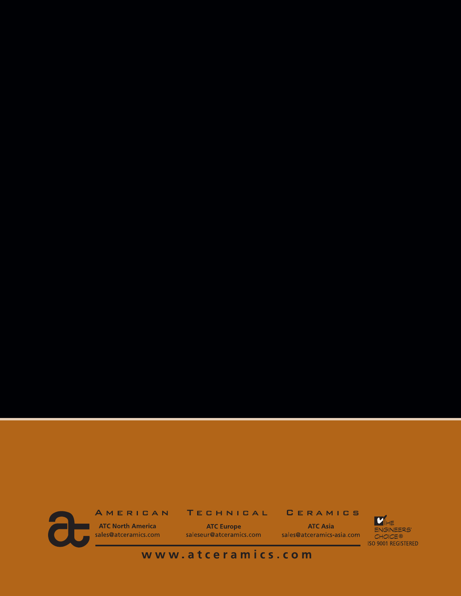**CERAMICS** 

**ATC North America** sales@atceramics.com

AMERICAN

**ATC Europe** saleseur@atceramics.com

**TECHNICAL** 

**ATC Asia** sales@atceramics-asia.com

\_\_\_



www.atceramics.com